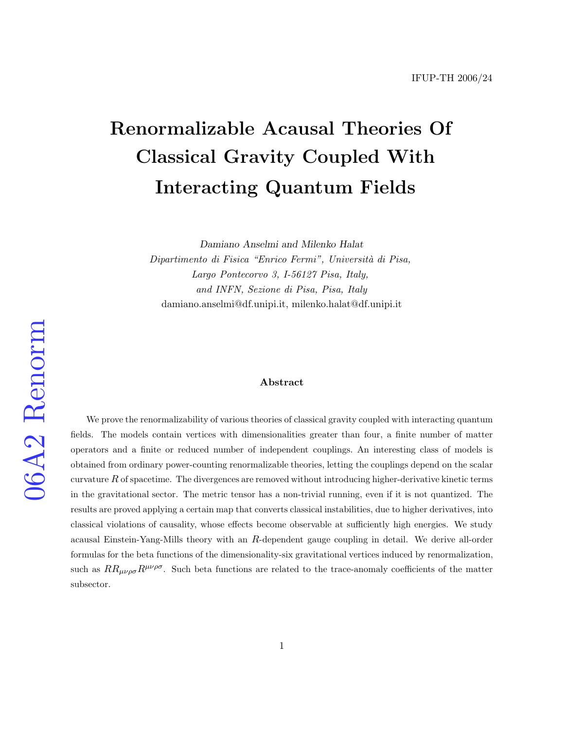# Renormalizable Acausal Theories Of Classical Gravity Coupled With Interacting Quantum Fields

Damiano Anselmi and Milenko Halat Dipartimento di Fisica "Enrico Fermi", Università di Pisa, Largo Pontecorvo 3, I-56127 Pisa, Italy, and INFN, Sezione di Pisa, Pisa, Italy damiano.anselmi@df.unipi.it, milenko.halat@df.unipi.it

#### Abstract

We prove the renormalizability of various theories of classical gravity coupled with interacting quantum fields. The models contain vertices with dimensionalities greater than four, a finite number of matter operators and a finite or reduced number of independent couplings. An interesting class of models is obtained from ordinary power-counting renormalizable theories, letting the couplings depend on the scalar curvature  $R$  of spacetime. The divergences are removed without introducing higher-derivative kinetic terms in the gravitational sector. The metric tensor has a non-trivial running, even if it is not quantized. The results are proved applying a certain map that converts classical instabilities, due to higher derivatives, into classical violations of causality, whose effects become observable at sufficiently high energies. We study acausal Einstein-Yang-Mills theory with an R-dependent gauge coupling in detail. We derive all-order formulas for the beta functions of the dimensionality-six gravitational vertices induced by renormalization, such as  $RR_{\mu\nu\rho\sigma}R^{\mu\nu\rho\sigma}$ . Such beta functions are related to the trace-anomaly coefficients of the matter subsector.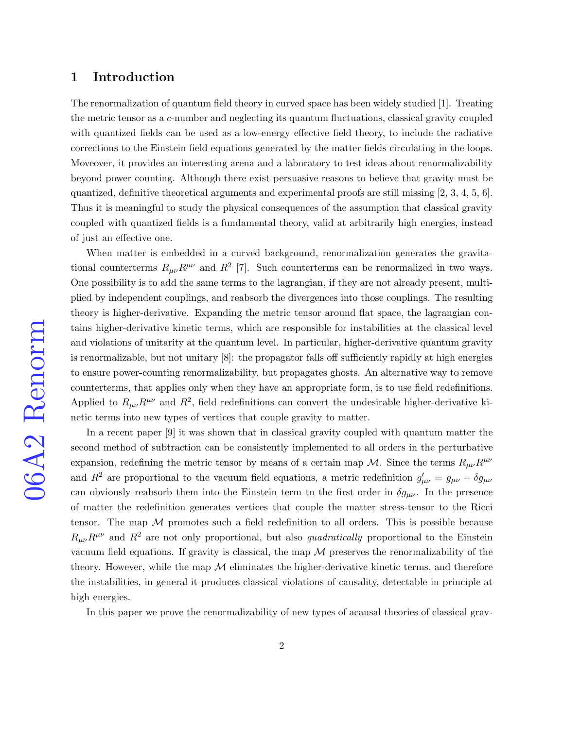## 1 Introduction

The renormalization of quantum field theory in curved space has been widely studied [\[1\]](#page-33-0). Treating the metric tensor as a c-number and neglecting its quantum fluctuations, classical gravity coupled with quantized fields can be used as a low-energy effective field theory, to include the radiative corrections to the Einstein field equations generated by the matter fields circulating in the loops. Moveover, it provides an interesting arena and a laboratory to test ideas about renormalizability beyond power counting. Although there exist persuasive reasons to believe that gravity must be quantized, definitive theoretical arguments and experimental proofs are still missing [\[2,](#page-33-1) [3,](#page-33-2) [4,](#page-33-3) [5,](#page-33-4) [6\]](#page-33-5). Thus it is meaningful to study the physical consequences of the assumption that classical gravity coupled with quantized fields is a fundamental theory, valid at arbitrarily high energies, instead of just an effective one.

When matter is embedded in a curved background, renormalization generates the gravitational counterterms  $R_{\mu\nu}R^{\mu\nu}$  and  $R^2$  [\[7\]](#page-34-0). Such counterterms can be renormalized in two ways. One possibility is to add the same terms to the lagrangian, if they are not already present, multiplied by independent couplings, and reabsorb the divergences into those couplings. The resulting theory is higher-derivative. Expanding the metric tensor around flat space, the lagrangian contains higher-derivative kinetic terms, which are responsible for instabilities at the classical level and violations of unitarity at the quantum level. In particular, higher-derivative quantum gravity is renormalizable, but not unitary [\[8\]](#page-34-1): the propagator falls off sufficiently rapidly at high energies to ensure power-counting renormalizability, but propagates ghosts. An alternative way to remove counterterms, that applies only when they have an appropriate form, is to use field redefinitions. Applied to  $R_{\mu\nu}R^{\mu\nu}$  and  $R^2$ , field redefinitions can convert the undesirable higher-derivative kinetic terms into new types of vertices that couple gravity to matter.

In a recent paper [\[9\]](#page-34-2) it was shown that in classical gravity coupled with quantum matter the second method of subtraction can be consistently implemented to all orders in the perturbative expansion, redefining the metric tensor by means of a certain map M. Since the terms  $R_{\mu\nu}R^{\mu\nu}$ and  $R^2$  are proportional to the vacuum field equations, a metric redefinition  $g'_{\mu\nu} = g_{\mu\nu} + \delta g_{\mu\nu}$ can obviously reabsorb them into the Einstein term to the first order in  $\delta g_{\mu\nu}$ . In the presence of matter the redefinition generates vertices that couple the matter stress-tensor to the Ricci tensor. The map  $M$  promotes such a field redefinition to all orders. This is possible because  $R_{\mu\nu}R^{\mu\nu}$  and  $R^2$  are not only proportional, but also *quadratically* proportional to the Einstein vacuum field equations. If gravity is classical, the map  $\mathcal M$  preserves the renormalizability of the theory. However, while the map  $\mathcal M$  eliminates the higher-derivative kinetic terms, and therefore the instabilities, in general it produces classical violations of causality, detectable in principle at high energies.

In this paper we prove the renormalizability of new types of acausal theories of classical grav-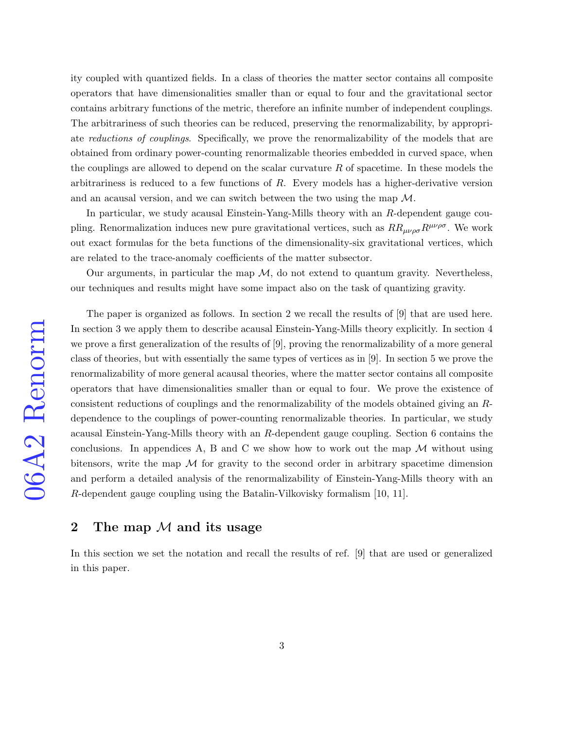ity coupled with quantized fields. In a class of theories the matter sector contains all composite operators that have dimensionalities smaller than or equal to four and the gravitational sector contains arbitrary functions of the metric, therefore an infinite number of independent couplings. The arbitrariness of such theories can be reduced, preserving the renormalizability, by appropriate reductions of couplings. Specifically, we prove the renormalizability of the models that are obtained from ordinary power-counting renormalizable theories embedded in curved space, when the couplings are allowed to depend on the scalar curvature  $R$  of spacetime. In these models the arbitrariness is reduced to a few functions of R. Every models has a higher-derivative version and an acausal version, and we can switch between the two using the map  $\mathcal{M}$ .

In particular, we study acausal Einstein-Yang-Mills theory with an R-dependent gauge coupling. Renormalization induces new pure gravitational vertices, such as  $RR_{\mu\nu\rho\sigma}R^{\mu\nu\rho\sigma}$ . We work out exact formulas for the beta functions of the dimensionality-six gravitational vertices, which are related to the trace-anomaly coefficients of the matter subsector.

Our arguments, in particular the map  $\mathcal{M}$ , do not extend to quantum gravity. Nevertheless, our techniques and results might have some impact also on the task of quantizing gravity.

The paper is organized as follows. In section 2 we recall the results of [\[9\]](#page-34-2) that are used here. In section 3 we apply them to describe acausal Einstein-Yang-Mills theory explicitly. In section 4 we prove a first generalization of the results of [\[9\]](#page-34-2), proving the renormalizability of a more general class of theories, but with essentially the same types of vertices as in [\[9\]](#page-34-2). In section 5 we prove the renormalizability of more general acausal theories, where the matter sector contains all composite operators that have dimensionalities smaller than or equal to four. We prove the existence of consistent reductions of couplings and the renormalizability of the models obtained giving an Rdependence to the couplings of power-counting renormalizable theories. In particular, we study acausal Einstein-Yang-Mills theory with an R-dependent gauge coupling. Section 6 contains the conclusions. In appendices A, B and C we show how to work out the map  $\mathcal M$  without using bitensors, write the map  $\mathcal M$  for gravity to the second order in arbitrary spacetime dimension and perform a detailed analysis of the renormalizability of Einstein-Yang-Mills theory with an R-dependent gauge coupling using the Batalin-Vilkovisky formalism [\[10,](#page-34-3) [11\]](#page-34-4).

## 2 The map  $M$  and its usage

In this section we set the notation and recall the results of ref. [\[9\]](#page-34-2) that are used or generalized in this paper.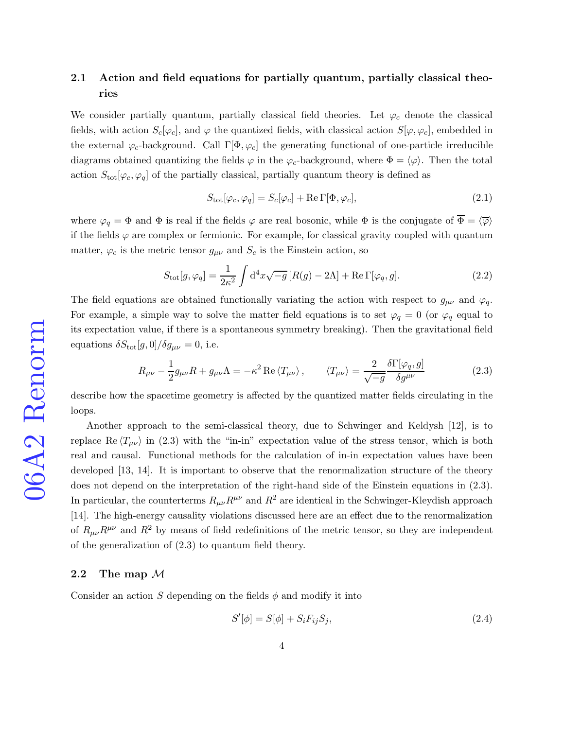## 2.1 Action and field equations for partially quantum, partially classical theories

We consider partially quantum, partially classical field theories. Let  $\varphi_c$  denote the classical fields, with action  $S_c[\varphi_c]$ , and  $\varphi$  the quantized fields, with classical action  $S[\varphi, \varphi_c]$ , embedded in the external  $\varphi_c$ -background. Call  $\Gamma[\Phi, \varphi_c]$  the generating functional of one-particle irreducible diagrams obtained quantizing the fields  $\varphi$  in the  $\varphi_c$ -background, where  $\Phi = \langle \varphi \rangle$ . Then the total action  $S_{\text{tot}}[\varphi_c, \varphi_q]$  of the partially classical, partially quantum theory is defined as

<span id="page-3-1"></span>
$$
S_{\text{tot}}[\varphi_c, \varphi_q] = S_c[\varphi_c] + \text{Re}\,\Gamma[\Phi, \varphi_c],\tag{2.1}
$$

where  $\varphi_q = \Phi$  and  $\Phi$  is real if the fields  $\varphi$  are real bosonic, while  $\Phi$  is the conjugate of  $\overline{\Phi} = \langle \overline{\varphi} \rangle$ if the fields  $\varphi$  are complex or fermionic. For example, for classical gravity coupled with quantum matter,  $\varphi_c$  is the metric tensor  $g_{\mu\nu}$  and  $S_c$  is the Einstein action, so

$$
S_{\text{tot}}[g,\varphi_q] = \frac{1}{2\kappa^2} \int d^4x \sqrt{-g} \left[ R(g) - 2\Lambda \right] + \text{Re}\,\Gamma[\varphi_q, g].\tag{2.2}
$$

The field equations are obtained functionally variating the action with respect to  $g_{\mu\nu}$  and  $\varphi_q$ . For example, a simple way to solve the matter field equations is to set  $\varphi_q = 0$  (or  $\varphi_q$  equal to its expectation value, if there is a spontaneous symmetry breaking). Then the gravitational field equations  $\delta S_{\text{tot}}[g,0]/\delta g_{\mu\nu} = 0$ , i.e.

<span id="page-3-0"></span>
$$
R_{\mu\nu} - \frac{1}{2}g_{\mu\nu}R + g_{\mu\nu}\Lambda = -\kappa^2 \operatorname{Re}\left\langle T_{\mu\nu} \right\rangle, \qquad \langle T_{\mu\nu} \rangle = \frac{2}{\sqrt{-g}} \frac{\delta \Gamma[\varphi_q, g]}{\delta g^{\mu\nu}} \tag{2.3}
$$

describe how the spacetime geometry is affected by the quantized matter fields circulating in the loops.

Another approach to the semi-classical theory, due to Schwinger and Keldysh [\[12\]](#page-34-5), is to replace Re  $\langle T_{\mu\nu} \rangle$  in [\(2.3\)](#page-3-0) with the "in-in" expectation value of the stress tensor, which is both real and causal. Functional methods for the calculation of in-in expectation values have been developed [\[13,](#page-34-6) [14\]](#page-34-7). It is important to observe that the renormalization structure of the theory does not depend on the interpretation of the right-hand side of the Einstein equations in [\(2.3\)](#page-3-0). In particular, the counterterms  $R_{\mu\nu}R^{\mu\nu}$  and  $R^2$  are identical in the Schwinger-Kleydish approach [\[14\]](#page-34-7). The high-energy causality violations discussed here are an effect due to the renormalization of  $R_{\mu\nu}R^{\mu\nu}$  and  $R^2$  by means of field redefinitions of the metric tensor, so they are independent of the generalization of [\(2.3\)](#page-3-0) to quantum field theory.

## 2.2 The map  $\mathcal M$

Consider an action S depending on the fields  $\phi$  and modify it into

<span id="page-3-2"></span>
$$
S'[\phi] = S[\phi] + S_i F_{ij} S_j,
$$
\n
$$
(2.4)
$$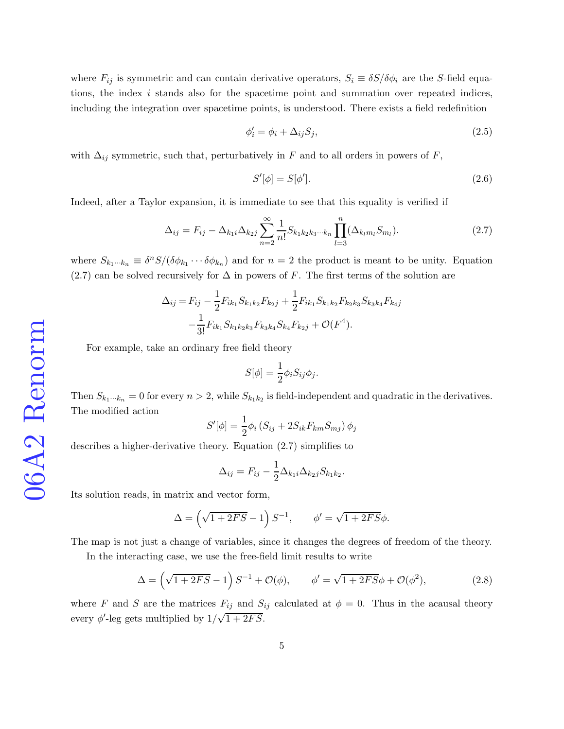where  $F_{ij}$  is symmetric and can contain derivative operators,  $S_i \equiv \delta S/\delta \phi_i$  are the S-field equations, the index i stands also for the spacetime point and summation over repeated indices, including the integration over spacetime points, is understood. There exists a field redefinition

$$
\phi_i' = \phi_i + \Delta_{ij} S_j,\tag{2.5}
$$

with  $\Delta_{ij}$  symmetric, such that, perturbatively in F and to all orders in powers of F,

<span id="page-4-1"></span>
$$
S'[\phi] = S[\phi']. \tag{2.6}
$$

Indeed, after a Taylor expansion, it is immediate to see that this equality is verified if

<span id="page-4-0"></span>
$$
\Delta_{ij} = F_{ij} - \Delta_{k_1 i} \Delta_{k_2 j} \sum_{n=2}^{\infty} \frac{1}{n!} S_{k_1 k_2 k_3 \cdots k_n} \prod_{l=3}^n (\Delta_{k_l m_l} S_{m_l}). \tag{2.7}
$$

where  $S_{k_1\cdots k_n} \equiv \delta^n S/(\delta \phi_{k_1}\cdots \delta \phi_{k_n})$  and for  $n=2$  the product is meant to be unity. Equation [\(2.7\)](#page-4-0) can be solved recursively for  $\Delta$  in powers of F. The first terms of the solution are

$$
\Delta_{ij} = F_{ij} - \frac{1}{2} F_{ik_1} S_{k_1 k_2} F_{k_2 j} + \frac{1}{2} F_{ik_1} S_{k_1 k_2} F_{k_2 k_3} S_{k_3 k_4} F_{k_4 j}
$$

$$
- \frac{1}{3!} F_{ik_1} S_{k_1 k_2 k_3} F_{k_3 k_4} S_{k_4} F_{k_2 j} + \mathcal{O}(F^4).
$$

For example, take an ordinary free field theory

$$
S[\phi] = \frac{1}{2} \phi_i S_{ij} \phi_j.
$$

Then  $S_{k_1\cdots k_n} = 0$  for every  $n > 2$ , while  $S_{k_1k_2}$  is field-independent and quadratic in the derivatives. The modified action

$$
S'[\phi] = \frac{1}{2}\phi_i \left( S_{ij} + 2S_{ik}F_{km}S_{mj} \right) \phi_j
$$

describes a higher-derivative theory. Equation [\(2.7\)](#page-4-0) simplifies to

$$
\Delta_{ij} = F_{ij} - \frac{1}{2} \Delta_{k_1 i} \Delta_{k_2 j} S_{k_1 k_2}.
$$

Its solution reads, in matrix and vector form,

$$
\Delta = \left(\sqrt{1+2FS} - 1\right)S^{-1}, \qquad \phi' = \sqrt{1+2FS}\phi.
$$

The map is not just a change of variables, since it changes the degrees of freedom of the theory.

In the interacting case, we use the free-field limit results to write

$$
\Delta = \left(\sqrt{1+2FS} - 1\right)S^{-1} + \mathcal{O}(\phi), \qquad \phi' = \sqrt{1+2FS}\phi + \mathcal{O}(\phi^2),\tag{2.8}
$$

where F and S are the matrices  $F_{ij}$  and  $S_{ij}$  calculated at  $\phi = 0$ . Thus in the acausal theory every  $\phi'$ -leg gets multiplied by  $1/\sqrt{1+2FS}$ .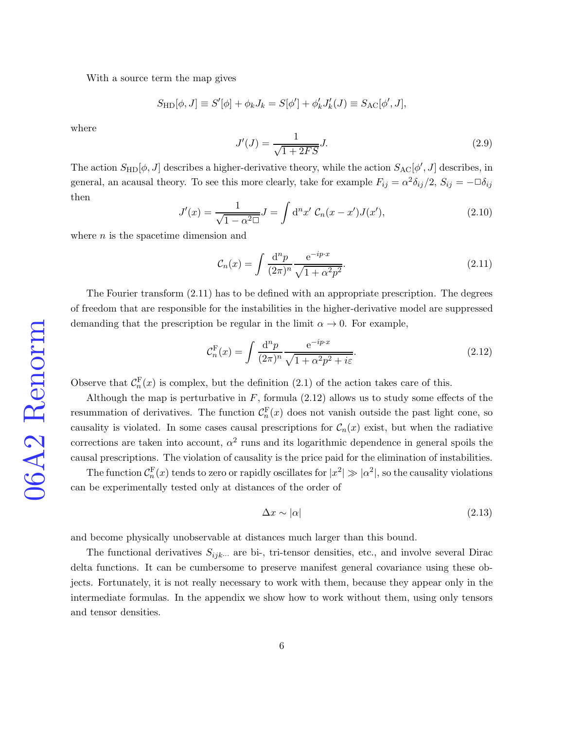With a source term the map gives

$$
S_{\rm HD}[\phi, J] \equiv S'[\phi] + \phi_k J_k = S[\phi'] + \phi'_k J'_k(J) \equiv S_{\rm AC}[\phi', J],
$$

where

<span id="page-5-2"></span>
$$
J'(J) = \frac{1}{\sqrt{1 + 2FS}} J.
$$
\n(2.9)

The action  $S_{HD}[\phi, J]$  describes a higher-derivative theory, while the action  $S_{AC}[\phi', J]$  describes, in general, an acausal theory. To see this more clearly, take for example  $F_{ij} = \alpha^2 \delta_{ij}/2$ ,  $S_{ij} = -\Box \delta_{ij}$ then

$$
J'(x) = \frac{1}{\sqrt{1 - \alpha^2 \square}} J = \int d^n x' \ C_n(x - x') J(x'), \qquad (2.10)
$$

where  $n$  is the spacetime dimension and

<span id="page-5-0"></span>
$$
\mathcal{C}_n(x) = \int \frac{\mathrm{d}^n p}{(2\pi)^n} \frac{\mathrm{e}^{-ip \cdot x}}{\sqrt{1 + \alpha^2 p^2}}.
$$
\n(2.11)

The Fourier transform [\(2.11\)](#page-5-0) has to be defined with an appropriate prescription. The degrees of freedom that are responsible for the instabilities in the higher-derivative model are suppressed demanding that the prescription be regular in the limit  $\alpha \to 0$ . For example,

<span id="page-5-1"></span>
$$
\mathcal{C}_n^{\mathcal{F}}(x) = \int \frac{d^n p}{(2\pi)^n} \frac{e^{-ip \cdot x}}{\sqrt{1 + \alpha^2 p^2 + i\varepsilon}}.
$$
\n(2.12)

Observe that  $C_n^{\mathbb{F}}(x)$  is complex, but the definition [\(2.1\)](#page-3-1) of the action takes care of this.

Although the map is perturbative in  $F$ , formula  $(2.12)$  allows us to study some effects of the resummation of derivatives. The function  $\mathcal{C}_n^{\mathcal{F}}(x)$  does not vanish outside the past light cone, so causality is violated. In some cases causal prescriptions for  $C_n(x)$  exist, but when the radiative corrections are taken into account,  $\alpha^2$  runs and its logarithmic dependence in general spoils the causal prescriptions. The violation of causality is the price paid for the elimination of instabilities.

The function  $C_n^{\text{F}}(x)$  tends to zero or rapidly oscillates for  $|x^2| \gg |\alpha^2|$ , so the causality violations can be experimentally tested only at distances of the order of

$$
\Delta x \sim |\alpha| \tag{2.13}
$$

and become physically unobservable at distances much larger than this bound.

The functional derivatives  $S_{ijk\cdots}$  are bi-, tri-tensor densities, etc., and involve several Dirac delta functions. It can be cumbersome to preserve manifest general covariance using these objects. Fortunately, it is not really necessary to work with them, because they appear only in the intermediate formulas. In the appendix we show how to work without them, using only tensors and tensor densities.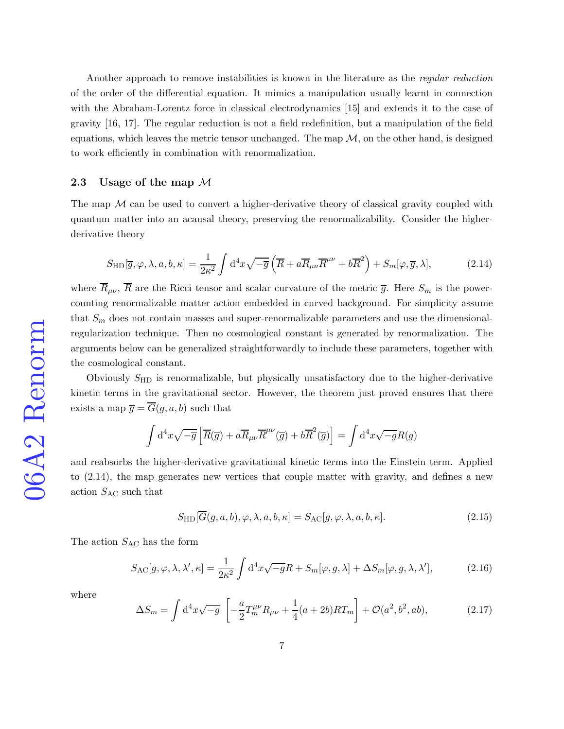Another approach to remove instabilities is known in the literature as the regular reduction of the order of the differential equation. It mimics a manipulation usually learnt in connection with the Abraham-Lorentz force in classical electrodynamics [\[15\]](#page-34-8) and extends it to the case of gravity [\[16,](#page-34-9) [17\]](#page-34-10). The regular reduction is not a field redefinition, but a manipulation of the field equations, which leaves the metric tensor unchanged. The map  $M$ , on the other hand, is designed to work efficiently in combination with renormalization.

## 2.3 Usage of the map  $M$

The map  $\mathcal M$  can be used to convert a higher-derivative theory of classical gravity coupled with quantum matter into an acausal theory, preserving the renormalizability. Consider the higherderivative theory

<span id="page-6-0"></span>
$$
S_{\rm HD}[\overline{g}, \varphi, \lambda, a, b, \kappa] = \frac{1}{2\kappa^2} \int d^4x \sqrt{-\overline{g}} \left( \overline{R} + a \overline{R}_{\mu\nu} \overline{R}^{\mu\nu} + b \overline{R}^2 \right) + S_m[\varphi, \overline{g}, \lambda],\tag{2.14}
$$

where  $\overline{R}_{\mu\nu}$ ,  $\overline{R}$  are the Ricci tensor and scalar curvature of the metric  $\overline{g}$ . Here  $S_m$  is the powercounting renormalizable matter action embedded in curved background. For simplicity assume that  $S_m$  does not contain masses and super-renormalizable parameters and use the dimensionalregularization technique. Then no cosmological constant is generated by renormalization. The arguments below can be generalized straightforwardly to include these parameters, together with the cosmological constant.

Obviously  $S_{HD}$  is renormalizable, but physically unsatisfactory due to the higher-derivative kinetic terms in the gravitational sector. However, the theorem just proved ensures that there exists a map  $\overline{g} = \overline{G}(g, a, b)$  such that

$$
\int d^4x \sqrt{-\overline{g}} \left[ \overline{R}(\overline{g}) + a \overline{R}_{\mu\nu} \overline{R}^{\mu\nu}(\overline{g}) + b \overline{R}^2(\overline{g}) \right] = \int d^4x \sqrt{-g}R(g)
$$

and reabsorbs the higher-derivative gravitational kinetic terms into the Einstein term. Applied to [\(2.14\)](#page-6-0), the map generates new vertices that couple matter with gravity, and defines a new action  $S_{\text{AC}}$  such that

<span id="page-6-1"></span>
$$
S_{\rm HD}[\overline{G}(g, a, b), \varphi, \lambda, a, b, \kappa] = S_{\rm AC}[g, \varphi, \lambda, a, b, \kappa]. \tag{2.15}
$$

The action  $S_{\text{AC}}$  has the form

$$
S_{\rm AC}[g,\varphi,\lambda,\lambda',\kappa] = \frac{1}{2\kappa^2} \int d^4x \sqrt{-g}R + S_m[\varphi,g,\lambda] + \Delta S_m[\varphi,g,\lambda,\lambda'],\tag{2.16}
$$

where

<span id="page-6-2"></span>
$$
\Delta S_m = \int d^4x \sqrt{-g} \left[ -\frac{a}{2} T_m^{\mu\nu} R_{\mu\nu} + \frac{1}{4} (a + 2b) R T_m \right] + \mathcal{O}(a^2, b^2, ab), \tag{2.17}
$$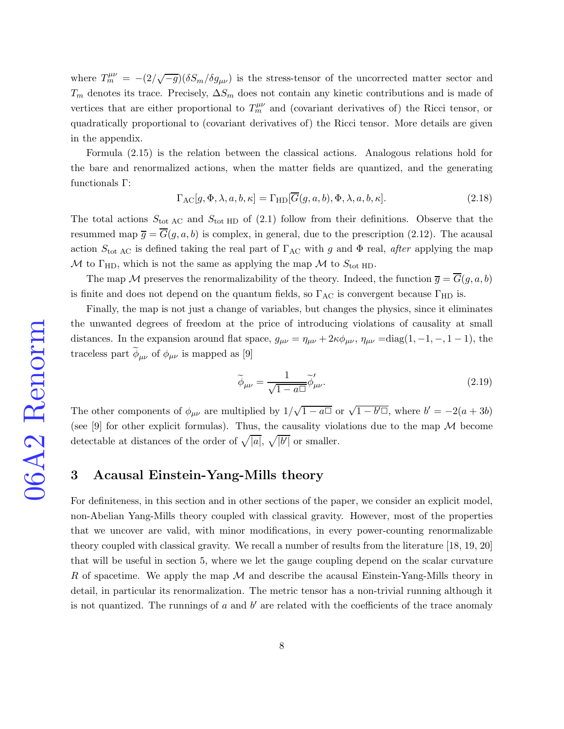where  $T_m^{\mu\nu} = -(2/\sqrt{-g})(\delta S_m/\delta g_{\mu\nu})$  is the stress-tensor of the uncorrected matter sector and  $T_m$  denotes its trace. Precisely,  $\Delta S_m$  does not contain any kinetic contributions and is made of vertices that are either proportional to  $T_m^{\mu\nu}$  and (covariant derivatives of) the Ricci tensor, or quadratically proportional to (covariant derivatives of) the Ricci tensor. More details are given in the appendix.

Formula [\(2.15\)](#page-6-1) is the relation between the classical actions. Analogous relations hold for the bare and renormalized actions, when the matter fields are quantized, and the generating functionals Γ:

$$
\Gamma_{\rm AC}[g,\Phi,\lambda,a,b,\kappa] = \Gamma_{\rm HD}[\overline{G}(g,a,b),\Phi,\lambda,a,b,\kappa]. \tag{2.18}
$$

The total actions  $S_{\text{tot AC}}$  and  $S_{\text{tot HD}}$  of [\(2.1\)](#page-3-1) follow from their definitions. Observe that the resummed map  $\overline{g} = \overline{G}(g, a, b)$  is complex, in general, due to the prescription [\(2.12\)](#page-5-1). The acausal action  $S_{\text{tot AC}}$  is defined taking the real part of  $\Gamma_{\text{AC}}$  with g and  $\Phi$  real, after applying the map M to  $\Gamma_{\text{HD}}$ , which is not the same as applying the map M to  $S_{\text{tot HD}}$ .

The map M preserves the renormalizability of the theory. Indeed, the function  $\overline{g} = \overline{G}(g, a, b)$ is finite and does not depend on the quantum fields, so  $\Gamma_{AC}$  is convergent because  $\Gamma_{HD}$  is.

Finally, the map is not just a change of variables, but changes the physics, since it eliminates the unwanted degrees of freedom at the price of introducing violations of causality at small distances. In the expansion around flat space,  $g_{\mu\nu} = \eta_{\mu\nu} + 2\kappa \phi_{\mu\nu}$ ,  $\eta_{\mu\nu} = \text{diag}(1, -1, -1, -1)$ , the traceless part  $\phi_{\mu\nu}$  of  $\phi_{\mu\nu}$  is mapped as [\[9\]](#page-34-2)

$$
\widetilde{\phi}_{\mu\nu} = \frac{1}{\sqrt{1 - a^{\square}}} \widetilde{\phi}_{\mu\nu}^{\prime}.
$$
\n(2.19)

The other components of  $\phi_{\mu\nu}$  are multiplied by  $1/\sqrt{1-a\Box}$  or  $\sqrt{1-b'\Box}$ , where  $b' = -2(a+3b)$ (see [\[9\]](#page-34-2) for other explicit formulas). Thus, the causality violations due to the map  $\mathcal M$  become detectable at distances of the order of  $\sqrt{|a|}$ ,  $\sqrt{|b'|}$  or smaller.

## 3 Acausal Einstein-Yang-Mills theory

For definiteness, in this section and in other sections of the paper, we consider an explicit model, non-Abelian Yang-Mills theory coupled with classical gravity. However, most of the properties that we uncover are valid, with minor modifications, in every power-counting renormalizable theory coupled with classical gravity. We recall a number of results from the literature [\[18,](#page-34-11) [19,](#page-34-12) [20\]](#page-34-13) that will be useful in section 5, where we let the gauge coupling depend on the scalar curvature R of spacetime. We apply the map  $\mathcal M$  and describe the acausal Einstein-Yang-Mills theory in detail, in particular its renormalization. The metric tensor has a non-trivial running although it is not quantized. The runnings of  $a$  and  $b'$  are related with the coefficients of the trace anomaly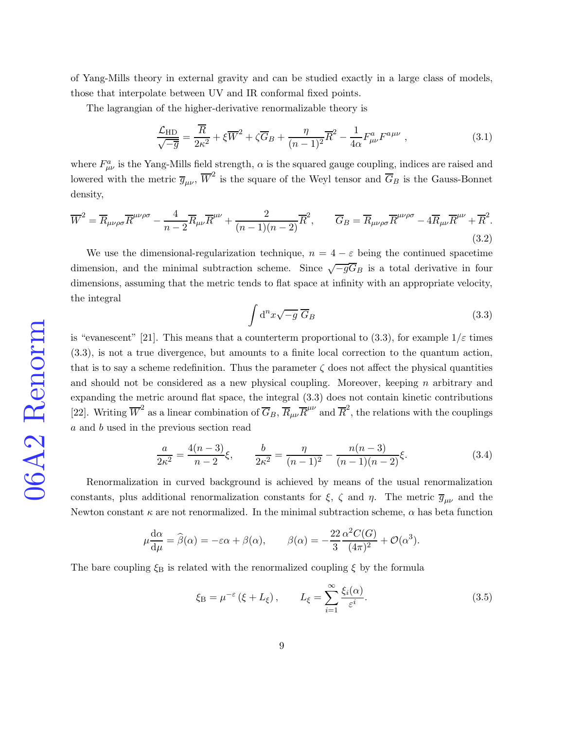of Yang-Mills theory in external gravity and can be studied exactly in a large class of models, those that interpolate between UV and IR conformal fixed points.

The lagrangian of the higher-derivative renormalizable theory is

<span id="page-8-2"></span>
$$
\frac{\mathcal{L}_{HD}}{\sqrt{-\overline{g}}} = \frac{\overline{R}}{2\kappa^2} + \xi \overline{W}^2 + \zeta \overline{G}_B + \frac{\eta}{(n-1)^2} \overline{R}^2 - \frac{1}{4\alpha} F^a_{\mu\nu} F^{a\mu\nu} , \qquad (3.1)
$$

where  $F_{\mu\nu}^a$  is the Yang-Mills field strength,  $\alpha$  is the squared gauge coupling, indices are raised and lowered with the metric  $\overline{g}_{\mu\nu}$ ,  $\overline{W}^2$  is the square of the Weyl tensor and  $\overline{G}_B$  is the Gauss-Bonnet density,

$$
\overline{W}^2 = \overline{R}_{\mu\nu\rho\sigma} \overline{R}^{\mu\nu\rho\sigma} - \frac{4}{n-2} \overline{R}_{\mu\nu} \overline{R}^{\mu\nu} + \frac{2}{(n-1)(n-2)} \overline{R}^2, \qquad \overline{G}_B = \overline{R}_{\mu\nu\rho\sigma} \overline{R}^{\mu\nu\rho\sigma} - 4 \overline{R}_{\mu\nu} \overline{R}^{\mu\nu} + \overline{R}^2. \tag{3.2}
$$

We use the dimensional-regularization technique,  $n = 4 - \varepsilon$  being the continued spacetime dimension, and the minimal subtraction scheme. Since  $\sqrt{-g}G_B$  is a total derivative in four dimensions, assuming that the metric tends to flat space at infinity with an appropriate velocity, the integral

<span id="page-8-0"></span>
$$
\int d^n x \sqrt{-g} \; \overline{G}_B \tag{3.3}
$$

is "evanescent" [\[21\]](#page-34-14). This means that a counterterm proportional to [\(3.3\)](#page-8-0), for example  $1/\varepsilon$  times [\(3.3\)](#page-8-0), is not a true divergence, but amounts to a finite local correction to the quantum action, that is to say a scheme redefinition. Thus the parameter  $\zeta$  does not affect the physical quantities and should not be considered as a new physical coupling. Moreover, keeping n arbitrary and expanding the metric around flat space, the integral [\(3.3\)](#page-8-0) does not contain kinetic contributions [\[22\]](#page-35-0). Writing  $\overline{W}^2$  as a linear combination of  $\overline{G}_B$ ,  $\overline{R}_{\mu\nu}\overline{R}^{\mu\nu}$  and  $\overline{R}^2$ , the relations with the couplings a and b used in the previous section read

<span id="page-8-3"></span>
$$
\frac{a}{2\kappa^2} = \frac{4(n-3)}{n-2}\xi, \qquad \frac{b}{2\kappa^2} = \frac{\eta}{(n-1)^2} - \frac{n(n-3)}{(n-1)(n-2)}\xi.
$$
 (3.4)

Renormalization in curved background is achieved by means of the usual renormalization constants, plus additional renormalization constants for  $\xi$ ,  $\zeta$  and  $\eta$ . The metric  $\overline{g}_{\mu\nu}$  and the Newton constant  $\kappa$  are not renormalized. In the minimal subtraction scheme,  $\alpha$  has beta function

$$
\mu \frac{d\alpha}{d\mu} = \widehat{\beta}(\alpha) = -\varepsilon \alpha + \beta(\alpha), \qquad \beta(\alpha) = -\frac{22}{3} \frac{\alpha^2 C(G)}{(4\pi)^2} + \mathcal{O}(\alpha^3).
$$

The bare coupling  $\xi_B$  is related with the renormalized coupling  $\xi$  by the formula

<span id="page-8-1"></span>
$$
\xi_{\rm B} = \mu^{-\varepsilon} \left( \xi + L_{\xi} \right), \qquad L_{\xi} = \sum_{i=1}^{\infty} \frac{\xi_i(\alpha)}{\varepsilon^i}.
$$
\n(3.5)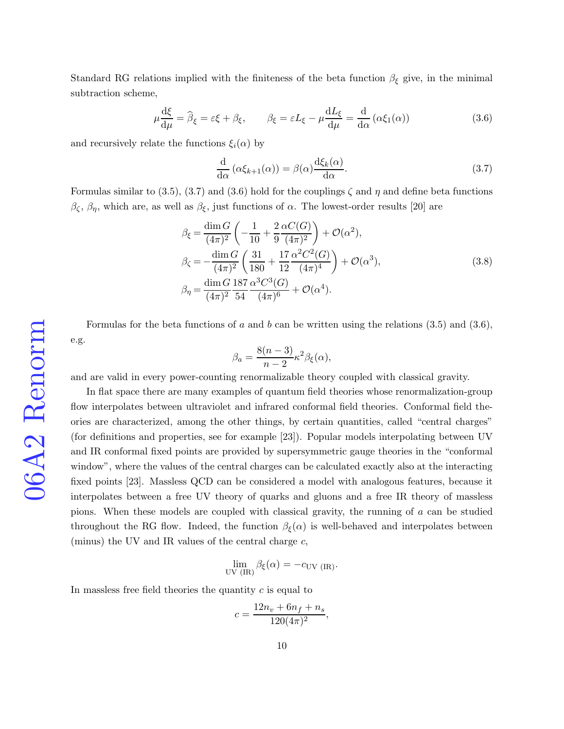Standard RG relations implied with the finiteness of the beta function  $\beta_{\xi}$  give, in the minimal subtraction scheme,

<span id="page-9-1"></span>
$$
\mu \frac{\mathrm{d}\xi}{\mathrm{d}\mu} = \hat{\beta}_{\xi} = \varepsilon \xi + \beta_{\xi}, \qquad \beta_{\xi} = \varepsilon L_{\xi} - \mu \frac{\mathrm{d}L_{\xi}}{\mathrm{d}\mu} = \frac{\mathrm{d}}{\mathrm{d}\alpha} \left( \alpha \xi_{1}(\alpha) \right) \tag{3.6}
$$

and recursively relate the functions  $\xi_i(\alpha)$  by

<span id="page-9-0"></span>
$$
\frac{\mathrm{d}}{\mathrm{d}\alpha} \left( \alpha \xi_{k+1}(\alpha) \right) = \beta(\alpha) \frac{\mathrm{d}\xi_k(\alpha)}{\mathrm{d}\alpha}.\tag{3.7}
$$

Formulas similar to [\(3.5\)](#page-8-1), [\(3.7\)](#page-9-0) and [\(3.6\)](#page-9-1) hold for the couplings  $\zeta$  and  $\eta$  and define beta functions  $\beta_{\zeta}, \beta_{\eta}$ , which are, as well as  $\beta_{\xi}$ , just functions of  $\alpha$ . The lowest-order results [\[20\]](#page-34-13) are

<span id="page-9-2"></span>
$$
\beta_{\xi} = \frac{\dim G}{(4\pi)^2} \left( -\frac{1}{10} + \frac{2}{9} \frac{\alpha C(G)}{(4\pi)^2} \right) + \mathcal{O}(\alpha^2),
$$
  
\n
$$
\beta_{\zeta} = -\frac{\dim G}{(4\pi)^2} \left( \frac{31}{180} + \frac{17}{12} \frac{\alpha^2 C^2(G)}{(4\pi)^4} \right) + \mathcal{O}(\alpha^3),
$$
  
\n
$$
\beta_{\eta} = \frac{\dim G}{(4\pi)^2} \frac{187}{54} \frac{\alpha^3 C^3(G)}{(4\pi)^6} + \mathcal{O}(\alpha^4).
$$
\n(3.8)

Formulas for the beta functions of a and b can be written using the relations  $(3.5)$  and  $(3.6)$ , e.g.

$$
_{\rm e.g.}
$$

06A2 Renorm

$$
\beta_a = \frac{8(n-3)}{n-2} \kappa^2 \beta_{\xi}(\alpha),
$$

and are valid in every power-counting renormalizable theory coupled with classical gravity.

In flat space there are many examples of quantum field theories whose renormalization-group flow interpolates between ultraviolet and infrared conformal field theories. Conformal field theories are characterized, among the other things, by certain quantities, called "central charges" (for definitions and properties, see for example [\[23\]](#page-35-1)). Popular models interpolating between UV and IR conformal fixed points are provided by supersymmetric gauge theories in the "conformal window", where the values of the central charges can be calculated exactly also at the interacting fixed points [\[23\]](#page-35-1). Massless QCD can be considered a model with analogous features, because it interpolates between a free UV theory of quarks and gluons and a free IR theory of massless pions. When these models are coupled with classical gravity, the running of a can be studied throughout the RG flow. Indeed, the function  $\beta_{\xi}(\alpha)$  is well-behaved and interpolates between (minus) the UV and IR values of the central charge  $c$ ,

$$
\lim_{\text{UV (IR)}} \beta_{\xi}(\alpha) = -c_{\text{UV (IR)}}.
$$

In massless free field theories the quantity  $c$  is equal to

$$
c = \frac{12n_v + 6n_f + n_s}{120(4\pi)^2},
$$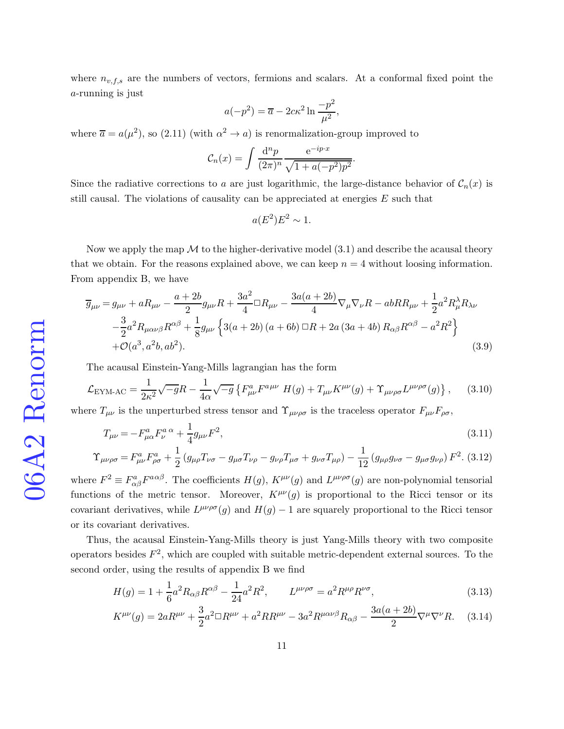where  $n_{v,f,s}$  are the numbers of vectors, fermions and scalars. At a conformal fixed point the a-running is just

$$
a(-p^2) = \overline{a} - 2c\kappa^2 \ln \frac{-p^2}{\mu^2},
$$

where  $\overline{a} = a(\mu^2)$ , so [\(2.11\)](#page-5-0) (with  $\alpha^2 \to a$ ) is renormalization-group improved to

$$
C_n(x) = \int \frac{d^n p}{(2\pi)^n} \frac{e^{-ip \cdot x}}{\sqrt{1 + a(-p^2)p^2}}.
$$

Since the radiative corrections to a are just logarithmic, the large-distance behavior of  $C_n(x)$  is still causal. The violations of causality can be appreciated at energies E such that

$$
a(E^2)E^2 \sim 1.
$$

Now we apply the map  $\mathcal M$  to the higher-derivative model [\(3.1\)](#page-8-2) and describe the acausal theory that we obtain. For the reasons explained above, we can keep  $n = 4$  without loosing information. From appendix B, we have

<span id="page-10-0"></span>
$$
\overline{g}_{\mu\nu} = g_{\mu\nu} + aR_{\mu\nu} - \frac{a+2b}{2}g_{\mu\nu}R + \frac{3a^2}{4}\Box R_{\mu\nu} - \frac{3a(a+2b)}{4}\nabla_{\mu}\nabla_{\nu}R - abRR_{\mu\nu} + \frac{1}{2}a^2R_{\mu}^{\lambda}R_{\lambda\nu} \n- \frac{3}{2}a^2R_{\mu\alpha\nu\beta}R^{\alpha\beta} + \frac{1}{8}g_{\mu\nu}\left\{3(a+2b)(a+6b)\Box R + 2a(3a+4b)R_{\alpha\beta}R^{\alpha\beta} - a^2R^2\right\} \n+ \mathcal{O}(a^3, a^2b, ab^2).
$$
\n(3.9)

The acausal Einstein-Yang-Mills lagrangian has the form

<span id="page-10-2"></span>
$$
\mathcal{L}_{\text{EYM-AC}} = \frac{1}{2\kappa^2} \sqrt{-g} R - \frac{1}{4\alpha} \sqrt{-g} \left\{ F_{\mu\nu}^a F^{a\mu\nu} H(g) + T_{\mu\nu} K^{\mu\nu}(g) + \Upsilon_{\mu\nu\rho\sigma} L^{\mu\nu\rho\sigma}(g) \right\}, \tag{3.10}
$$

where  $T_{\mu\nu}$  is the unperturbed stress tensor and  $\Upsilon_{\mu\nu\rho\sigma}$  is the traceless operator  $F_{\mu\nu}F_{\rho\sigma}$ ,

<span id="page-10-1"></span>
$$
T_{\mu\nu} = -F_{\mu\alpha}^a F_{\nu}^a{}^\alpha + \frac{1}{4} g_{\mu\nu} F^2,\tag{3.11}
$$

$$
\Upsilon_{\mu\nu\rho\sigma} = F_{\mu\nu}^a F_{\rho\sigma}^a + \frac{1}{2} \left( g_{\mu\rho} T_{\nu\sigma} - g_{\mu\sigma} T_{\nu\rho} - g_{\nu\rho} T_{\mu\sigma} + g_{\nu\sigma} T_{\mu\rho} \right) - \frac{1}{12} \left( g_{\mu\rho} g_{\nu\sigma} - g_{\mu\sigma} g_{\nu\rho} \right) F^2. (3.12)
$$

where  $F^2 \equiv F^a_{\alpha\beta}F^{a\alpha\beta}$ . The coefficients  $H(g)$ ,  $K^{\mu\nu}(g)$  and  $L^{\mu\nu\rho\sigma}(g)$  are non-polynomial tensorial functions of the metric tensor. Moreover,  $K^{\mu\nu}(g)$  is proportional to the Ricci tensor or its covariant derivatives, while  $L^{\mu\nu\rho\sigma}(g)$  and  $H(g) - 1$  are squarely proportional to the Ricci tensor or its covariant derivatives.

Thus, the acausal Einstein-Yang-Mills theory is just Yang-Mills theory with two composite operators besides  $F^2$ , which are coupled with suitable metric-dependent external sources. To the second order, using the results of appendix B we find

<span id="page-10-3"></span>
$$
H(g) = 1 + \frac{1}{6}a^2 R_{\alpha\beta} R^{\alpha\beta} - \frac{1}{24}a^2 R^2, \qquad L^{\mu\nu\rho\sigma} = a^2 R^{\mu\rho} R^{\nu\sigma}, \tag{3.13}
$$

$$
K^{\mu\nu}(g) = 2aR^{\mu\nu} + \frac{3}{2}a^2 \Box R^{\mu\nu} + a^2RR^{\mu\nu} - 3a^2R^{\mu\alpha\nu\beta}R_{\alpha\beta} - \frac{3a(a+2b)}{2}\nabla^{\mu}\nabla^{\nu}R.
$$
 (3.14)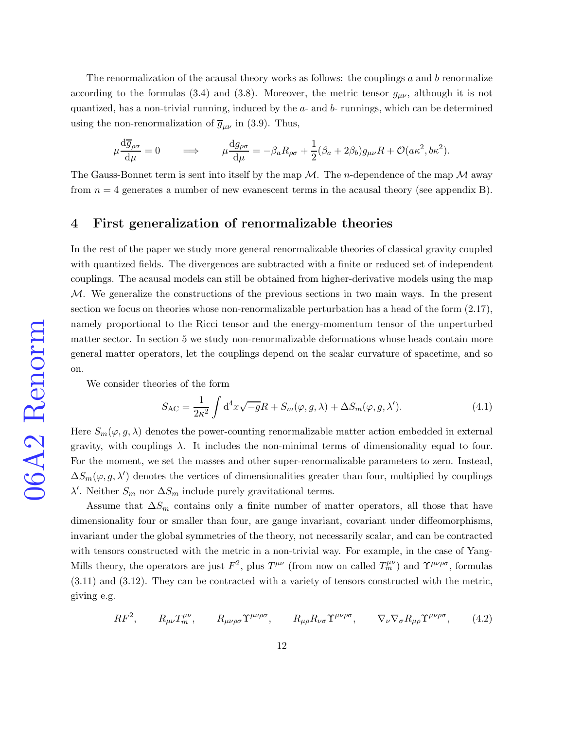The renormalization of the acausal theory works as follows: the couplings  $a$  and  $b$  renormalize according to the formulas [\(3.4\)](#page-8-3) and [\(3.8\)](#page-9-2). Moreover, the metric tensor  $g_{\mu\nu}$ , although it is not quantized, has a non-trivial running, induced by the a- and b- runnings, which can be determined using the non-renormalization of  $\overline{g}_{\mu\nu}$  in [\(3.9\)](#page-10-0). Thus,

$$
\mu \frac{\mathrm{d}\overline{g}_{\rho\sigma}}{\mathrm{d}\mu} = 0 \qquad \Longrightarrow \qquad \mu \frac{\mathrm{d}g_{\rho\sigma}}{\mathrm{d}\mu} = -\beta_a R_{\rho\sigma} + \frac{1}{2}(\beta_a + 2\beta_b)g_{\mu\nu}R + \mathcal{O}(a\kappa^2, b\kappa^2).
$$

The Gauss-Bonnet term is sent into itself by the map  $\mathcal M$ . The *n*-dependence of the map  $\mathcal M$  away from  $n = 4$  generates a number of new evanescent terms in the acausal theory (see appendix B).

# 4 First generalization of renormalizable theories

In the rest of the paper we study more general renormalizable theories of classical gravity coupled with quantized fields. The divergences are subtracted with a finite or reduced set of independent couplings. The acausal models can still be obtained from higher-derivative models using the map M. We generalize the constructions of the previous sections in two main ways. In the present section we focus on theories whose non-renormalizable perturbation has a head of the form [\(2.17\)](#page-6-2), namely proportional to the Ricci tensor and the energy-momentum tensor of the unperturbed matter sector. In section 5 we study non-renormalizable deformations whose heads contain more general matter operators, let the couplings depend on the scalar curvature of spacetime, and so on.

We consider theories of the form

<span id="page-11-1"></span>
$$
S_{\rm AC} = \frac{1}{2\kappa^2} \int d^4x \sqrt{-g}R + S_m(\varphi, g, \lambda) + \Delta S_m(\varphi, g, \lambda'). \tag{4.1}
$$

Here  $S_m(\varphi, g, \lambda)$  denotes the power-counting renormalizable matter action embedded in external gravity, with couplings  $\lambda$ . It includes the non-minimal terms of dimensionality equal to four. For the moment, we set the masses and other super-renormalizable parameters to zero. Instead,  $\Delta S_m(\varphi, g, \lambda')$  denotes the vertices of dimensionalities greater than four, multiplied by couplings  $\lambda'$ . Neither  $S_m$  nor  $\Delta S_m$  include purely gravitational terms.

Assume that  $\Delta S_m$  contains only a finite number of matter operators, all those that have dimensionality four or smaller than four, are gauge invariant, covariant under diffeomorphisms, invariant under the global symmetries of the theory, not necessarily scalar, and can be contracted with tensors constructed with the metric in a non-trivial way. For example, in the case of Yang-Mills theory, the operators are just  $F^2$ , plus  $T^{\mu\nu}$  (from now on called  $T^{\mu\nu}_m$ ) and  $\Upsilon^{\mu\nu\rho\sigma}$ , formulas [\(3.11\)](#page-10-1) and [\(3.12\)](#page-10-1). They can be contracted with a variety of tensors constructed with the metric, giving e.g.

<span id="page-11-0"></span>
$$
RF^2, \qquad R_{\mu\nu}T_m^{\mu\nu}, \qquad R_{\mu\nu\rho\sigma}\Upsilon^{\mu\nu\rho\sigma}, \qquad R_{\mu\rho}R_{\nu\sigma}\Upsilon^{\mu\nu\rho\sigma}, \qquad \nabla_{\nu}\nabla_{\sigma}R_{\mu\rho}\Upsilon^{\mu\nu\rho\sigma}, \qquad (4.2)
$$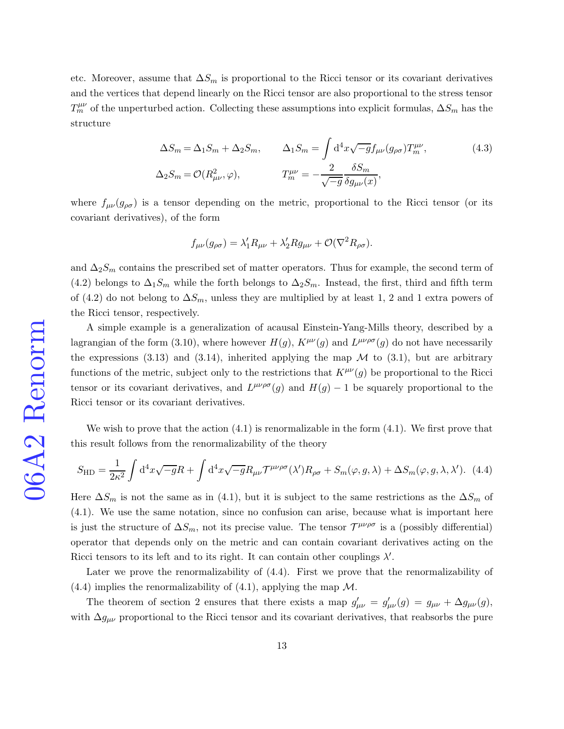etc. Moreover, assume that  $\Delta S_m$  is proportional to the Ricci tensor or its covariant derivatives and the vertices that depend linearly on the Ricci tensor are also proportional to the stress tensor  $T_m^{\mu\nu}$  of the unperturbed action. Collecting these assumptions into explicit formulas,  $\Delta S_m$  has the structure

<span id="page-12-1"></span>
$$
\Delta S_m = \Delta_1 S_m + \Delta_2 S_m, \qquad \Delta_1 S_m = \int \mathrm{d}^4 x \sqrt{-g} f_{\mu\nu} (g_{\rho\sigma}) T_m^{\mu\nu},
$$
\n
$$
\Delta_2 S_m = \mathcal{O}(R_{\mu\nu}^2, \varphi), \qquad T_m^{\mu\nu} = -\frac{2}{\sqrt{-g}} \frac{\delta S_m}{\delta g_{\mu\nu}(x)},
$$
\n(4.3)

where  $f_{\mu\nu}(g_{\rho\sigma})$  is a tensor depending on the metric, proportional to the Ricci tensor (or its covariant derivatives), of the form

$$
f_{\mu\nu}(g_{\rho\sigma}) = \lambda'_1 R_{\mu\nu} + \lambda'_2 R g_{\mu\nu} + \mathcal{O}(\nabla^2 R_{\rho\sigma}).
$$

and  $\Delta_2 S_m$  contains the prescribed set of matter operators. Thus for example, the second term of [\(4.2\)](#page-11-0) belongs to  $\Delta_1 S_m$  while the forth belongs to  $\Delta_2 S_m$ . Instead, the first, third and fifth term of [\(4.2\)](#page-11-0) do not belong to  $\Delta S_m$ , unless they are multiplied by at least 1, 2 and 1 extra powers of the Ricci tensor, respectively.

A simple example is a generalization of acausal Einstein-Yang-Mills theory, described by a lagrangian of the form [\(3.10\)](#page-10-2), where however  $H(g)$ ,  $K^{\mu\nu}(g)$  and  $L^{\mu\nu\rho\sigma}(g)$  do not have necessarily the expressions [\(3.13\)](#page-10-3) and [\(3.14\)](#page-10-3), inherited applying the map  $\mathcal M$  to [\(3.1\)](#page-8-2), but are arbitrary functions of the metric, subject only to the restrictions that  $K^{\mu\nu}(g)$  be proportional to the Ricci tensor or its covariant derivatives, and  $L^{\mu\nu\rho\sigma}(g)$  and  $H(g) - 1$  be squarely proportional to the Ricci tensor or its covariant derivatives.

We wish to prove that the action  $(4.1)$  is renormalizable in the form  $(4.1)$ . We first prove that this result follows from the renormalizability of the theory

<span id="page-12-0"></span>
$$
S_{\rm HD} = \frac{1}{2\kappa^2} \int d^4x \sqrt{-g}R + \int d^4x \sqrt{-g}R_{\mu\nu} \mathcal{T}^{\mu\nu\rho\sigma}(\lambda')R_{\rho\sigma} + S_m(\varphi, g, \lambda) + \Delta S_m(\varphi, g, \lambda, \lambda'). \tag{4.4}
$$

Here  $\Delta S_m$  is not the same as in [\(4.1\)](#page-11-1), but it is subject to the same restrictions as the  $\Delta S_m$  of [\(4.1\)](#page-11-1). We use the same notation, since no confusion can arise, because what is important here is just the structure of  $\Delta S_m$ , not its precise value. The tensor  $\mathcal{T}^{\mu\nu\rho\sigma}$  is a (possibly differential) operator that depends only on the metric and can contain covariant derivatives acting on the Ricci tensors to its left and to its right. It can contain other couplings  $\lambda'$ .

Later we prove the renormalizability of [\(4.4\)](#page-12-0). First we prove that the renormalizability of  $(4.4)$  implies the renormalizability of  $(4.1)$ , applying the map M.

The theorem of section 2 ensures that there exists a map  $g'_{\mu\nu} = g'_{\mu\nu}(g) = g_{\mu\nu} + \Delta g_{\mu\nu}(g)$ , with  $\Delta g_{\mu\nu}$  proportional to the Ricci tensor and its covariant derivatives, that reabsorbs the pure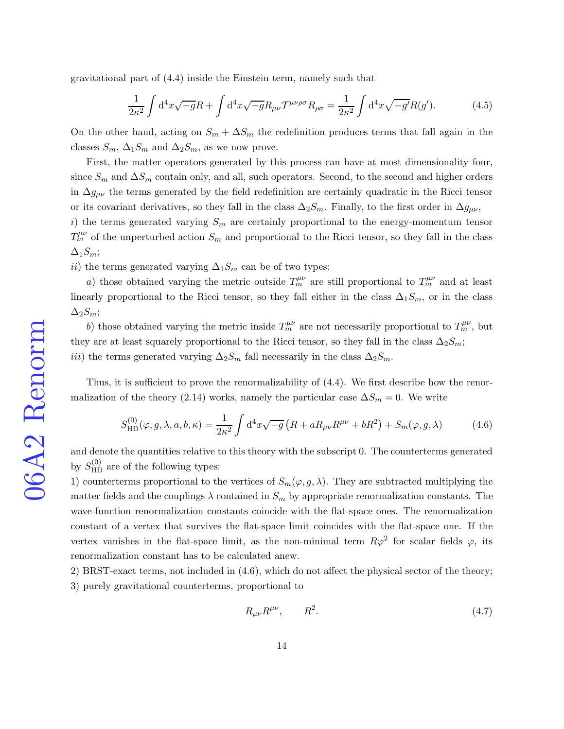gravitational part of [\(4.4\)](#page-12-0) inside the Einstein term, namely such that

<span id="page-13-2"></span>
$$
\frac{1}{2\kappa^2} \int d^4x \sqrt{-g}R + \int d^4x \sqrt{-g}R_{\mu\nu} \mathcal{T}^{\mu\nu\rho\sigma} R_{\rho\sigma} = \frac{1}{2\kappa^2} \int d^4x \sqrt{-g'}R(g'). \tag{4.5}
$$

On the other hand, acting on  $S_m + \Delta S_m$  the redefinition produces terms that fall again in the classes  $S_m$ ,  $\Delta_1 S_m$  and  $\Delta_2 S_m$ , as we now prove.

First, the matter operators generated by this process can have at most dimensionality four, since  $S_m$  and  $\Delta S_m$  contain only, and all, such operators. Second, to the second and higher orders in  $\Delta g_{\mu\nu}$  the terms generated by the field redefinition are certainly quadratic in the Ricci tensor or its covariant derivatives, so they fall in the class  $\Delta_2S_m$ . Finally, to the first order in  $\Delta g_{\mu\nu}$ ,

i) the terms generated varying  $S_m$  are certainly proportional to the energy-momentum tensor  $T_m^{\mu\nu}$  of the unperturbed action  $S_m$  and proportional to the Ricci tensor, so they fall in the class  $\Delta_1S_m;$ 

ii) the terms generated varying  $\Delta_1 S_m$  can be of two types:

a) those obtained varying the metric outside  $T_m^{\mu\nu}$  are still proportional to  $T_m^{\mu\nu}$  and at least linearly proportional to the Ricci tensor, so they fall either in the class  $\Delta_1S_m$ , or in the class  $\Delta_2S_m;$ 

b) those obtained varying the metric inside  $T_m^{\mu\nu}$  are not necessarily proportional to  $T_m^{\mu\nu}$ , but they are at least squarely proportional to the Ricci tensor, so they fall in the class  $\Delta_2 S_m$ ; iii) the terms generated varying  $\Delta_2 S_m$  fall necessarily in the class  $\Delta_2 S_m$ .

Thus, it is sufficient to prove the renormalizability of [\(4.4\)](#page-12-0). We first describe how the renor-malization of the theory [\(2.14\)](#page-6-0) works, namely the particular case  $\Delta S_m = 0$ . We write

<span id="page-13-0"></span>
$$
S_{\rm HD}^{(0)}(\varphi, g, \lambda, a, b, \kappa) = \frac{1}{2\kappa^2} \int d^4x \sqrt{-g} \left( R + aR_{\mu\nu}R^{\mu\nu} + bR^2 \right) + S_m(\varphi, g, \lambda) \tag{4.6}
$$

and denote the quantities relative to this theory with the subscript 0. The counterterms generated by  $S_{\rm HD}^{(0)}$  are of the following types:

1) counterterms proportional to the vertices of  $S_m(\varphi, g, \lambda)$ . They are subtracted multiplying the matter fields and the couplings  $\lambda$  contained in  $S_m$  by appropriate renormalization constants. The wave-function renormalization constants coincide with the flat-space ones. The renormalization constant of a vertex that survives the flat-space limit coincides with the flat-space one. If the vertex vanishes in the flat-space limit, as the non-minimal term  $R\varphi^2$  for scalar fields  $\varphi$ , its renormalization constant has to be calculated anew.

2) BRST-exact terms, not included in [\(4.6\)](#page-13-0), which do not affect the physical sector of the theory; 3) purely gravitational counterterms, proportional to

<span id="page-13-1"></span>
$$
R_{\mu\nu}R^{\mu\nu}, \qquad R^2. \tag{4.7}
$$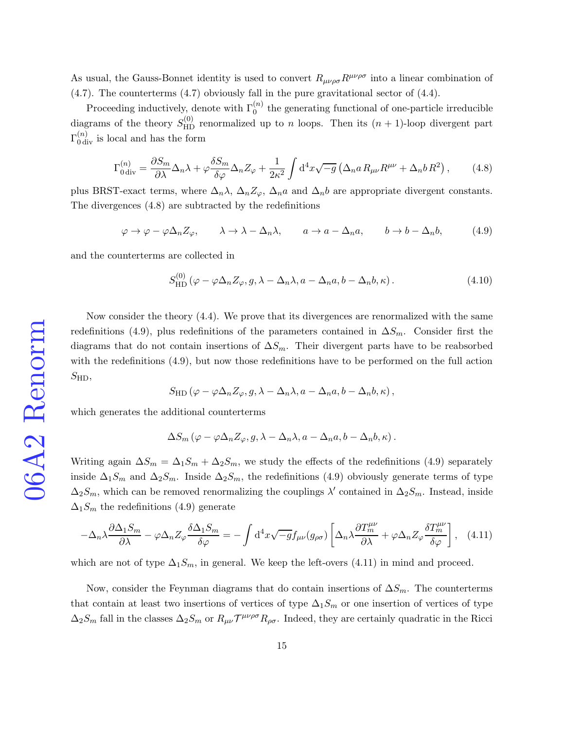As usual, the Gauss-Bonnet identity is used to convert  $R_{\mu\nu\rho\sigma}R^{\mu\nu\rho\sigma}$  into a linear combination of [\(4.7\)](#page-13-1). The counterterms [\(4.7\)](#page-13-1) obviously fall in the pure gravitational sector of [\(4.4\)](#page-12-0).

Proceeding inductively, denote with  $\Gamma_0^{(n)}$  the generating functional of one-particle irreducible diagrams of the theory  $S_{HD}^{(0)}$  renormalized up to n loops. Then its  $(n + 1)$ -loop divergent part  $\Gamma_{0\,\text{div}}^{(n)}$  is local and has the form

<span id="page-14-0"></span>
$$
\Gamma_{0\,\mathrm{div}}^{(n)} = \frac{\partial S_m}{\partial \lambda} \Delta_n \lambda + \varphi \frac{\delta S_m}{\delta \varphi} \Delta_n Z_\varphi + \frac{1}{2\kappa^2} \int \mathrm{d}^4 x \sqrt{-g} \left( \Delta_n a \, R_{\mu\nu} R^{\mu\nu} + \Delta_n b \, R^2 \right),\tag{4.8}
$$

plus BRST-exact terms, where  $\Delta_n \lambda$ ,  $\Delta_n Z_\varphi$ ,  $\Delta_n a$  and  $\Delta_n b$  are appropriate divergent constants. The divergences [\(4.8\)](#page-14-0) are subtracted by the redefinitions

<span id="page-14-1"></span>
$$
\varphi \to \varphi - \varphi \Delta_n Z_{\varphi}, \qquad \lambda \to \lambda - \Delta_n \lambda, \qquad a \to a - \Delta_n a, \qquad b \to b - \Delta_n b,\tag{4.9}
$$

and the counterterms are collected in

$$
S_{\rm HD}^{(0)}\left(\varphi - \varphi \Delta_n Z_\varphi, g, \lambda - \Delta_n \lambda, a - \Delta_n a, b - \Delta_n b, \kappa\right). \tag{4.10}
$$

Now consider the theory [\(4.4\)](#page-12-0). We prove that its divergences are renormalized with the same redefinitions [\(4.9\)](#page-14-1), plus redefinitions of the parameters contained in  $\Delta S_m$ . Consider first the diagrams that do not contain insertions of  $\Delta S_m$ . Their divergent parts have to be reabsorbed with the redefinitions [\(4.9\)](#page-14-1), but now those redefinitions have to be performed on the full action  $S_{\rm HD},$ 

$$
S_{\mathrm{HD}}\left(\varphi-\varphi\Delta_n Z_\varphi,g,\lambda-\Delta_n\lambda,a-\Delta_na,b-\Delta_nb,\kappa\right),\,
$$

which generates the additional counterterms

$$
\Delta S_m(\varphi-\varphi\Delta_n Z_\varphi,g,\lambda-\Delta_n\lambda,a-\Delta_na,b-\Delta_nb,\kappa).
$$

Writing again  $\Delta S_m = \Delta_1 S_m + \Delta_2 S_m$ , we study the effects of the redefinitions [\(4.9\)](#page-14-1) separately inside  $\Delta_1 S_m$  and  $\Delta_2 S_m$ . Inside  $\Delta_2 S_m$ , the redefinitions [\(4.9\)](#page-14-1) obviously generate terms of type  $\Delta_2 S_m$ , which can be removed renormalizing the couplings  $\lambda'$  contained in  $\Delta_2 S_m$ . Instead, inside  $\Delta_1 S_m$  the redefinitions [\(4.9\)](#page-14-1) generate

<span id="page-14-2"></span>
$$
-\Delta_n\lambda \frac{\partial \Delta_1 S_m}{\partial \lambda} - \varphi \Delta_n Z_\varphi \frac{\delta \Delta_1 S_m}{\delta \varphi} = -\int d^4x \sqrt{-g} f_{\mu\nu}(g_{\rho\sigma}) \left[ \Delta_n \lambda \frac{\partial T_m^{\mu\nu}}{\partial \lambda} + \varphi \Delta_n Z_\varphi \frac{\delta T_m^{\mu\nu}}{\delta \varphi} \right], \quad (4.11)
$$

which are not of type  $\Delta_1 S_m$ , in general. We keep the left-overs [\(4.11\)](#page-14-2) in mind and proceed.

Now, consider the Feynman diagrams that do contain insertions of  $\Delta S_m$ . The counterterms that contain at least two insertions of vertices of type  $\Delta_1S_m$  or one insertion of vertices of type  $\Delta_2 S_m$  fall in the classes  $\Delta_2 S_m$  or  $R_{\mu\nu} \mathcal{T}^{\mu\nu\rho\sigma} R_{\rho\sigma}$ . Indeed, they are certainly quadratic in the Ricci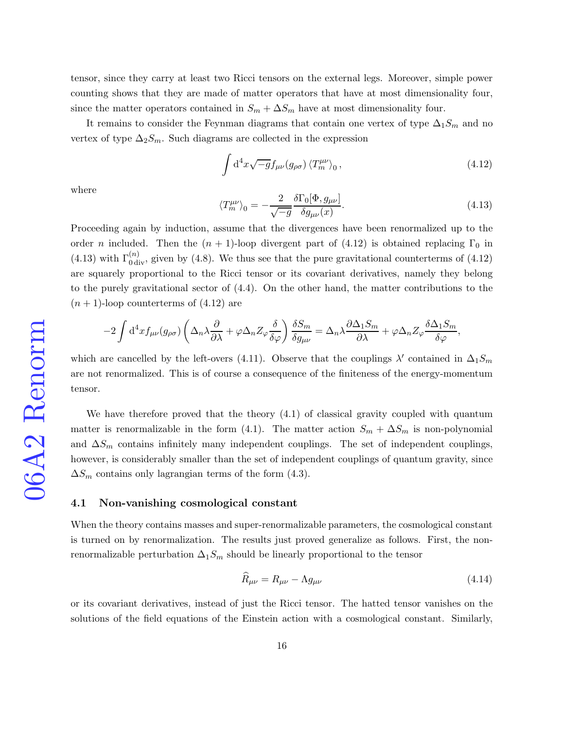tensor, since they carry at least two Ricci tensors on the external legs. Moreover, simple power counting shows that they are made of matter operators that have at most dimensionality four, since the matter operators contained in  $S_m + \Delta S_m$  have at most dimensionality four.

It remains to consider the Feynman diagrams that contain one vertex of type  $\Delta_1S_m$  and no vertex of type  $\Delta_2 S_m$ . Such diagrams are collected in the expression

<span id="page-15-0"></span>
$$
\int d^4x \sqrt{-g} f_{\mu\nu}(g_{\rho\sigma}) \langle T_m^{\mu\nu} \rangle_0, \qquad (4.12)
$$

where

<span id="page-15-1"></span>
$$
\langle T_m^{\mu\nu} \rangle_0 = -\frac{2}{\sqrt{-g}} \frac{\delta \Gamma_0[\Phi, g_{\mu\nu}]}{\delta g_{\mu\nu}(x)}.
$$
\n(4.13)

Proceeding again by induction, assume that the divergences have been renormalized up to the order n included. Then the  $(n + 1)$ -loop divergent part of [\(4.12\)](#page-15-0) is obtained replacing  $\Gamma_0$  in [\(4.13\)](#page-15-1) with  $\Gamma_{0 \text{ div}}^{(n)}$ , given by [\(4.8\)](#page-14-0). We thus see that the pure gravitational counterterms of [\(4.12\)](#page-15-0) are squarely proportional to the Ricci tensor or its covariant derivatives, namely they belong to the purely gravitational sector of [\(4.4\)](#page-12-0). On the other hand, the matter contributions to the  $(n + 1)$ -loop counterterms of  $(4.12)$  are

$$
-2\int\mathrm{d}^4x f_{\mu\nu}(g_{\rho\sigma})\left(\Delta_n\lambda\frac{\partial}{\partial\lambda}+\varphi\Delta_n Z_\varphi\frac{\delta}{\delta\varphi}\right)\frac{\delta S_m}{\delta g_{\mu\nu}}=\Delta_n\lambda\frac{\partial\Delta_1 S_m}{\partial\lambda}+\varphi\Delta_n Z_\varphi\frac{\delta\Delta_1 S_m}{\delta\varphi},
$$

which are cancelled by the left-overs [\(4.11\)](#page-14-2). Observe that the couplings  $\lambda'$  contained in  $\Delta_1 S_m$ are not renormalized. This is of course a consequence of the finiteness of the energy-momentum tensor.

We have therefore proved that the theory [\(4.1\)](#page-11-1) of classical gravity coupled with quantum matter is renormalizable in the form [\(4.1\)](#page-11-1). The matter action  $S_m + \Delta S_m$  is non-polynomial and  $\Delta S_m$  contains infinitely many independent couplings. The set of independent couplings, however, is considerably smaller than the set of independent couplings of quantum gravity, since  $\Delta S_m$  contains only lagrangian terms of the form [\(4.3\)](#page-12-1).

#### 4.1 Non-vanishing cosmological constant

When the theory contains masses and super-renormalizable parameters, the cosmological constant is turned on by renormalization. The results just proved generalize as follows. First, the nonrenormalizable perturbation  $\Delta_1 S_m$  should be linearly proportional to the tensor

<span id="page-15-2"></span>
$$
\widehat{R}_{\mu\nu} = R_{\mu\nu} - \Lambda g_{\mu\nu} \tag{4.14}
$$

or its covariant derivatives, instead of just the Ricci tensor. The hatted tensor vanishes on the solutions of the field equations of the Einstein action with a cosmological constant. Similarly,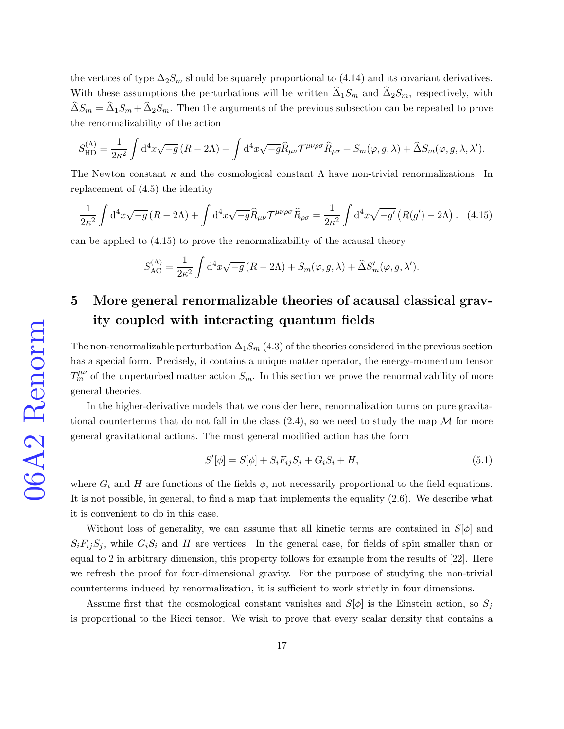the vertices of type  $\Delta_2 S_m$  should be squarely proportional to [\(4.14\)](#page-15-2) and its covariant derivatives. With these assumptions the perturbations will be written  $\Delta_1 S_m$  and  $\Delta_2 S_m$ , respectively, with  $\widehat{\Delta}S_m = \widehat{\Delta}_1 S_m + \widehat{\Delta}_2 S_m$ . Then the arguments of the previous subsection can be repeated to prove the renormalizability of the action

$$
S_{\rm HD}^{(\Lambda)} = \frac{1}{2\kappa^2} \int d^4x \sqrt{-g} \left( R - 2\Lambda \right) + \int d^4x \sqrt{-g} \hat{R}_{\mu\nu} \mathcal{T}^{\mu\nu\rho\sigma} \hat{R}_{\rho\sigma} + S_m(\varphi, g, \lambda) + \hat{\Delta} S_m(\varphi, g, \lambda, \lambda').
$$

The Newton constant  $\kappa$  and the cosmological constant  $\Lambda$  have non-trivial renormalizations. In replacement of [\(4.5\)](#page-13-2) the identity

<span id="page-16-0"></span>
$$
\frac{1}{2\kappa^2} \int d^4x \sqrt{-g} \left( R - 2\Lambda \right) + \int d^4x \sqrt{-g} \widehat{R}_{\mu\nu} \mathcal{T}^{\mu\nu\rho\sigma} \widehat{R}_{\rho\sigma} = \frac{1}{2\kappa^2} \int d^4x \sqrt{-g'} \left( R(g') - 2\Lambda \right). \tag{4.15}
$$

can be applied to [\(4.15\)](#page-16-0) to prove the renormalizability of the acausal theory

$$
S_{AC}^{(\Lambda)} = \frac{1}{2\kappa^2} \int d^4x \sqrt{-g} (R - 2\Lambda) + S_m(\varphi, g, \lambda) + \widehat{\Delta} S'_m(\varphi, g, \lambda').
$$

# 5 More general renormalizable theories of acausal classical gravity coupled with interacting quantum fields

The non-renormalizable perturbation  $\Delta_1S_m$  [\(4.3\)](#page-12-1) of the theories considered in the previous section has a special form. Precisely, it contains a unique matter operator, the energy-momentum tensor  $T_m^{\mu\nu}$  of the unperturbed matter action  $S_m$ . In this section we prove the renormalizability of more general theories.

In the higher-derivative models that we consider here, renormalization turns on pure gravitational counterterms that do not fall in the class  $(2.4)$ , so we need to study the map M for more general gravitational actions. The most general modified action has the form

<span id="page-16-1"></span>
$$
S'[\phi] = S[\phi] + S_i F_{ij} S_j + G_i S_i + H,
$$
\n(5.1)

where  $G_i$  and H are functions of the fields  $\phi$ , not necessarily proportional to the field equations. It is not possible, in general, to find a map that implements the equality [\(2.6\)](#page-4-1). We describe what it is convenient to do in this case.

Without loss of generality, we can assume that all kinetic terms are contained in  $S[\phi]$  and  $S_iF_{ij}S_j$ , while  $G_iS_i$  and H are vertices. In the general case, for fields of spin smaller than or equal to 2 in arbitrary dimension, this property follows for example from the results of [\[22\]](#page-35-0). Here we refresh the proof for four-dimensional gravity. For the purpose of studying the non-trivial counterterms induced by renormalization, it is sufficient to work strictly in four dimensions.

Assume first that the cosmological constant vanishes and  $S[\phi]$  is the Einstein action, so  $S_j$ is proportional to the Ricci tensor. We wish to prove that every scalar density that contains a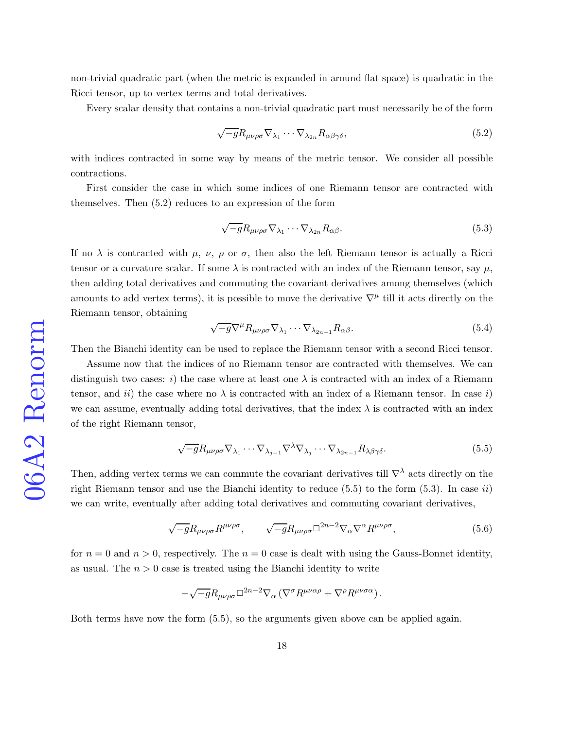non-trivial quadratic part (when the metric is expanded in around flat space) is quadratic in the Ricci tensor, up to vertex terms and total derivatives.

Every scalar density that contains a non-trivial quadratic part must necessarily be of the form

<span id="page-17-0"></span>
$$
\sqrt{-g}R_{\mu\nu\rho\sigma}\nabla_{\lambda_1}\cdots\nabla_{\lambda_{2n}}R_{\alpha\beta\gamma\delta},\tag{5.2}
$$

with indices contracted in some way by means of the metric tensor. We consider all possible contractions.

First consider the case in which some indices of one Riemann tensor are contracted with themselves. Then [\(5.2\)](#page-17-0) reduces to an expression of the form

<span id="page-17-2"></span>
$$
\sqrt{-g}R_{\mu\nu\rho\sigma}\nabla_{\lambda_1}\cdots\nabla_{\lambda_{2n}}R_{\alpha\beta}.\tag{5.3}
$$

If no  $\lambda$  is contracted with  $\mu$ ,  $\nu$ ,  $\rho$  or  $\sigma$ , then also the left Riemann tensor is actually a Ricci tensor or a curvature scalar. If some  $\lambda$  is contracted with an index of the Riemann tensor, say  $\mu$ , then adding total derivatives and commuting the covariant derivatives among themselves (which amounts to add vertex terms), it is possible to move the derivative  $\nabla^{\mu}$  till it acts directly on the Riemann tensor, obtaining

$$
\sqrt{-g}\nabla^{\mu}R_{\mu\nu\rho\sigma}\nabla_{\lambda_1}\cdots\nabla_{\lambda_{2n-1}}R_{\alpha\beta}.
$$
\n(5.4)

Then the Bianchi identity can be used to replace the Riemann tensor with a second Ricci tensor.

Assume now that the indices of no Riemann tensor are contracted with themselves. We can distinguish two cases: i) the case where at least one  $\lambda$  is contracted with an index of a Riemann tensor, and ii) the case where no  $\lambda$  is contracted with an index of a Riemann tensor. In case i) we can assume, eventually adding total derivatives, that the index  $\lambda$  is contracted with an index of the right Riemann tensor,

<span id="page-17-1"></span>
$$
\sqrt{-g}R_{\mu\nu\rho\sigma}\nabla_{\lambda_1}\cdots\nabla_{\lambda_{j-1}}\nabla^{\lambda}\nabla_{\lambda_j}\cdots\nabla_{\lambda_{2n-1}}R_{\lambda\beta\gamma\delta}.\tag{5.5}
$$

Then, adding vertex terms we can commute the covariant derivatives till  $\nabla^{\lambda}$  acts directly on the right Riemann tensor and use the Bianchi identity to reduce  $(5.5)$  to the form  $(5.3)$ . In case ii) we can write, eventually after adding total derivatives and commuting covariant derivatives,

$$
\sqrt{-g}R_{\mu\nu\rho\sigma}R^{\mu\nu\rho\sigma}, \qquad \sqrt{-g}R_{\mu\nu\rho\sigma}\Box^{2n-2}\nabla_{\alpha}\nabla^{\alpha}R^{\mu\nu\rho\sigma}, \qquad (5.6)
$$

for  $n = 0$  and  $n > 0$ , respectively. The  $n = 0$  case is dealt with using the Gauss-Bonnet identity, as usual. The  $n > 0$  case is treated using the Bianchi identity to write

$$
-\sqrt{-g}R_{\mu\nu\rho\sigma}\Box^{2n-2}\nabla_\alpha\left(\nabla^\sigma R^{\mu\nu\alpha\rho}+\nabla^\rho R^{\mu\nu\sigma\alpha}\right).
$$

Both terms have now the form [\(5.5\)](#page-17-1), so the arguments given above can be applied again.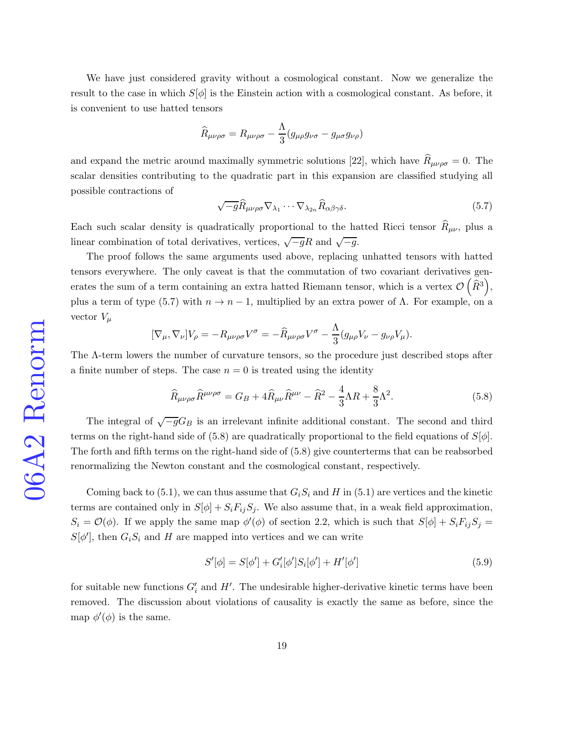We have just considered gravity without a cosmological constant. Now we generalize the result to the case in which  $S[\phi]$  is the Einstein action with a cosmological constant. As before, it is convenient to use hatted tensors

$$
\widehat{R}_{\mu\nu\rho\sigma} = R_{\mu\nu\rho\sigma} - \frac{\Lambda}{3} (g_{\mu\rho}g_{\nu\sigma} - g_{\mu\sigma}g_{\nu\rho})
$$

and expand the metric around maximally symmetric solutions [\[22\]](#page-35-0), which have  $\hat{R}_{\mu\nu\rho\sigma} = 0$ . The scalar densities contributing to the quadratic part in this expansion are classified studying all possible contractions of

<span id="page-18-0"></span>
$$
\sqrt{-g}\widehat{R}_{\mu\nu\rho\sigma}\nabla_{\lambda_1}\cdots\nabla_{\lambda_{2n}}\widehat{R}_{\alpha\beta\gamma\delta}.\tag{5.7}
$$

Each such scalar density is quadratically proportional to the hatted Ricci tensor  $R_{\mu\nu}$ , plus a linear combination of total derivatives, vertices,  $\sqrt{-g}R$  and  $\sqrt{-g}$ .

The proof follows the same arguments used above, replacing unhatted tensors with hatted tensors everywhere. The only caveat is that the commutation of two covariant derivatives generates the sum of a term containing an extra hatted Riemann tensor, which is a vertex  $\mathcal{O}(\tilde{R}^3)$ , plus a term of type [\(5.7\)](#page-18-0) with  $n \to n-1$ , multiplied by an extra power of  $\Lambda$ . For example, on a vector  $V_{\mu}$ 

$$
[\nabla_{\mu}, \nabla_{\nu}]V_{\rho} = -R_{\mu\nu\rho\sigma}V^{\sigma} = -\widehat{R}_{\mu\nu\rho\sigma}V^{\sigma} - \frac{\Lambda}{3}(g_{\mu\rho}V_{\nu} - g_{\nu\rho}V_{\mu}).
$$

The Λ-term lowers the number of curvature tensors, so the procedure just described stops after a finite number of steps. The case  $n = 0$  is treated using the identity

<span id="page-18-1"></span>
$$
\widehat{R}_{\mu\nu\rho\sigma}\widehat{R}^{\mu\nu\rho\sigma} = G_B + 4\widehat{R}_{\mu\nu}\widehat{R}^{\mu\nu} - \widehat{R}^2 - \frac{4}{3}\Lambda R + \frac{8}{3}\Lambda^2. \tag{5.8}
$$

The integral of  $\sqrt{-g}G_B$  is an irrelevant infinite additional constant. The second and third terms on the right-hand side of [\(5.8\)](#page-18-1) are quadratically proportional to the field equations of  $S[\phi]$ . The forth and fifth terms on the right-hand side of [\(5.8\)](#page-18-1) give counterterms that can be reabsorbed renormalizing the Newton constant and the cosmological constant, respectively.

Coming back to  $(5.1)$ , we can thus assume that  $G_iS_i$  and H in  $(5.1)$  are vertices and the kinetic terms are contained only in  $S[\phi] + S_i F_{ij} S_j$ . We also assume that, in a weak field approximation,  $S_i = \mathcal{O}(\phi)$ . If we apply the same map  $\phi'(\phi)$  of section 2.2, which is such that  $S[\phi] + S_i F_{ij} S_j =$  $S[\phi']$ , then  $G_iS_i$  and H are mapped into vertices and we can write

<span id="page-18-2"></span>
$$
S'[\phi] = S[\phi'] + G_i'[\phi']S_i[\phi'] + H'[\phi'] \tag{5.9}
$$

for suitable new functions  $G_i'$  and  $H'$ . The undesirable higher-derivative kinetic terms have been removed. The discussion about violations of causality is exactly the same as before, since the map  $\phi'(\phi)$  is the same.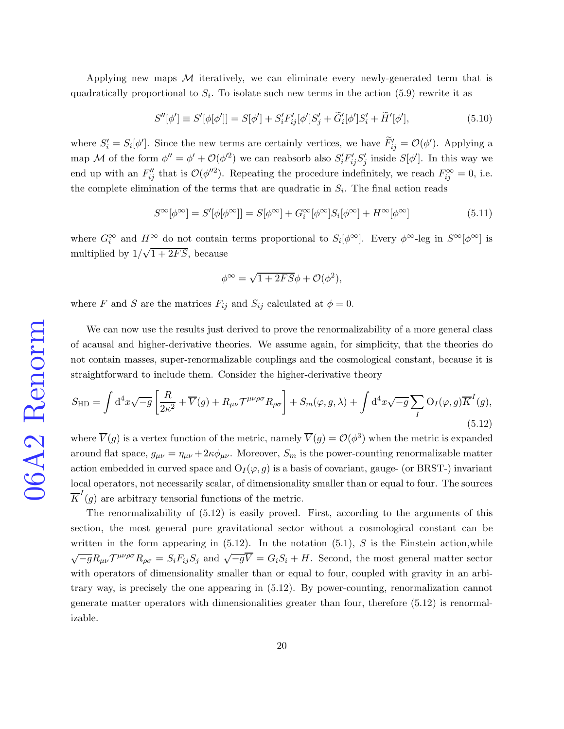Applying new maps  $M$  iteratively, we can eliminate every newly-generated term that is quadratically proportional to  $S_i$ . To isolate such new terms in the action [\(5.9\)](#page-18-2) rewrite it as

$$
S''[\phi'] \equiv S'[\phi[\phi']] = S[\phi'] + S_i'F_{ij}'[\phi']S_j' + \tilde{G}_i'[\phi']S_i' + \tilde{H}'[\phi'],
$$
\n(5.10)

where  $S_i' = S_i[\phi']$ . Since the new terms are certainly vertices, we have  $\tilde{F}_{ij}' = \mathcal{O}(\phi')$ . Applying a map M of the form  $\phi'' = \phi' + \mathcal{O}(\phi'^2)$  we can reabsorb also  $S_i' F'_{ij} S'_j$ *j* inside  $S[\phi']$ . In this way we end up with an  $F''_{ij}$  that is  $\mathcal{O}(\phi''^2)$ . Repeating the procedure indefinitely, we reach  $F^{\infty}_{ij} = 0$ , i.e. the complete elimination of the terms that are quadratic in  $S_i$ . The final action reads

<span id="page-19-1"></span>
$$
S^{\infty}[\phi^{\infty}] = S'[\phi[\phi^{\infty}]] = S[\phi^{\infty}] + G_i^{\infty}[\phi^{\infty}]S_i[\phi^{\infty}] + H^{\infty}[\phi^{\infty}]
$$
\n(5.11)

where  $G_i^{\infty}$  and  $H^{\infty}$  do not contain terms proportional to  $S_i[\phi^{\infty}]$ . Every  $\phi^{\infty}$ -leg in  $S^{\infty}[\phi^{\infty}]$  is multiplied by  $1/\sqrt{1+2FS}$ , because

$$
\phi^{\infty} = \sqrt{1 + 2FS}\phi + \mathcal{O}(\phi^2),
$$

where F and S are the matrices  $F_{ij}$  and  $S_{ij}$  calculated at  $\phi = 0$ .

We can now use the results just derived to prove the renormalizability of a more general class of acausal and higher-derivative theories. We assume again, for simplicity, that the theories do not contain masses, super-renormalizable couplings and the cosmological constant, because it is straightforward to include them. Consider the higher-derivative theory

<span id="page-19-0"></span>
$$
S_{\rm HD} = \int d^4x \sqrt{-g} \left[ \frac{R}{2\kappa^2} + \overline{V}(g) + R_{\mu\nu} \mathcal{T}^{\mu\nu\rho\sigma} R_{\rho\sigma} \right] + S_m(\varphi, g, \lambda) + \int d^4x \sqrt{-g} \sum_{I} O_I(\varphi, g) \overline{K}^I(g),
$$
\n(5.12)

where  $\overline{V}(g)$  is a vertex function of the metric, namely  $\overline{V}(g) = \mathcal{O}(\phi^3)$  when the metric is expanded around flat space,  $g_{\mu\nu} = \eta_{\mu\nu} + 2\kappa \phi_{\mu\nu}$ . Moreover,  $S_m$  is the power-counting renormalizable matter action embedded in curved space and  $O_I(\varphi, g)$  is a basis of covariant, gauge- (or BRST-) invariant local operators, not necessarily scalar, of dimensionality smaller than or equal to four. The sources  $\overline{K}^I(g)$  are arbitrary tensorial functions of the metric.

The renormalizability of [\(5.12\)](#page-19-0) is easily proved. First, according to the arguments of this section, the most general pure gravitational sector without a cosmological constant can be written in the form appearing in  $(5.12)$ . In the notation  $(5.1)$ , S is the Einstein action, while  $\sqrt{-g}R_{\mu\nu}\mathcal{T}^{\mu\nu\rho\sigma}R_{\rho\sigma} = S_iF_{ij}S_j$  and  $\sqrt{-g}\overline{V} = G_iS_i + H$ . Second, the most general matter sector with operators of dimensionality smaller than or equal to four, coupled with gravity in an arbitrary way, is precisely the one appearing in [\(5.12\)](#page-19-0). By power-counting, renormalization cannot generate matter operators with dimensionalities greater than four, therefore [\(5.12\)](#page-19-0) is renormalizable.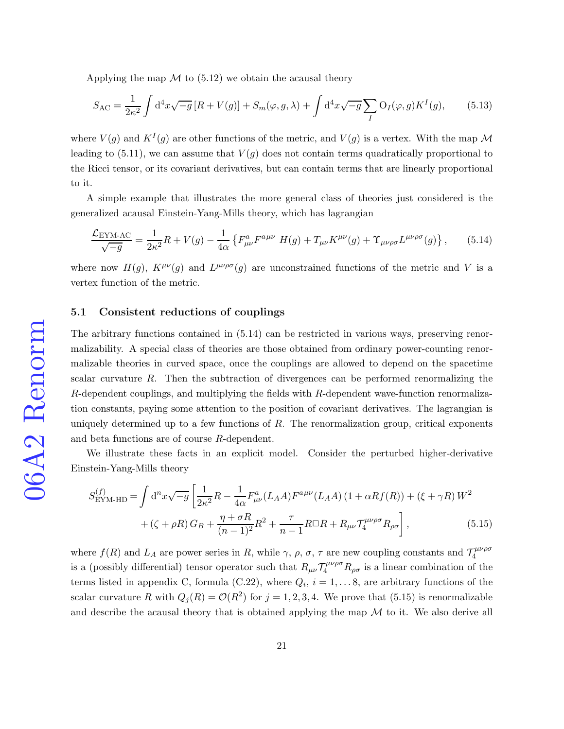Applying the map  $\mathcal M$  to [\(5.12\)](#page-19-0) we obtain the acausal theory

$$
S_{\rm AC} = \frac{1}{2\kappa^2} \int d^4x \sqrt{-g} \left[ R + V(g) \right] + S_m(\varphi, g, \lambda) + \int d^4x \sqrt{-g} \sum_I O_I(\varphi, g) K^I(g), \tag{5.13}
$$

where  $V(g)$  and  $K^I(g)$  are other functions of the metric, and  $V(g)$  is a vertex. With the map  $\mathcal M$ leading to  $(5.11)$ , we can assume that  $V(g)$  does not contain terms quadratically proportional to the Ricci tensor, or its covariant derivatives, but can contain terms that are linearly proportional to it.

A simple example that illustrates the more general class of theories just considered is the generalized acausal Einstein-Yang-Mills theory, which has lagrangian

<span id="page-20-0"></span>
$$
\frac{\mathcal{L}_{\text{EYM-AC}}}{\sqrt{-g}} = \frac{1}{2\kappa^2} R + V(g) - \frac{1}{4\alpha} \left\{ F^a_{\mu\nu} F^{a\mu\nu} H(g) + T_{\mu\nu} K^{\mu\nu}(g) + \Upsilon_{\mu\nu\rho\sigma} L^{\mu\nu\rho\sigma}(g) \right\},\tag{5.14}
$$

where now  $H(g)$ ,  $K^{\mu\nu}(g)$  and  $L^{\mu\nu\rho\sigma}(g)$  are unconstrained functions of the metric and V is a vertex function of the metric.

#### 5.1 Consistent reductions of couplings

The arbitrary functions contained in [\(5.14\)](#page-20-0) can be restricted in various ways, preserving renormalizability. A special class of theories are those obtained from ordinary power-counting renormalizable theories in curved space, once the couplings are allowed to depend on the spacetime scalar curvature  $R$ . Then the subtraction of divergences can be performed renormalizing the R-dependent couplings, and multiplying the fields with R-dependent wave-function renormalization constants, paying some attention to the position of covariant derivatives. The lagrangian is uniquely determined up to a few functions of  $R$ . The renormalization group, critical exponents and beta functions are of course R-dependent.

We illustrate these facts in an explicit model. Consider the perturbed higher-derivative Einstein-Yang-Mills theory

<span id="page-20-1"></span>
$$
S_{\text{EYM-HD}}^{(f)} = \int \mathrm{d}^n x \sqrt{-g} \left[ \frac{1}{2\kappa^2} R - \frac{1}{4\alpha} F_{\mu\nu}^a (L_A A) F^{a\mu\nu} (L_A A) (1 + \alpha R f(R)) + (\xi + \gamma R) W^2 + (\zeta + \rho R) G_B + \frac{\eta + \sigma R}{(n-1)^2} R^2 + \frac{\tau}{n-1} R \Box R + R_{\mu\nu} \mathcal{T}_4^{\mu\nu\rho\sigma} R_{\rho\sigma} \right],
$$
(5.15)

where  $f(R)$  and  $L_A$  are power series in R, while  $\gamma$ ,  $\rho$ ,  $\sigma$ ,  $\tau$  are new coupling constants and  $\mathcal{T}_4^{\mu\nu\rho\sigma}$ 4 is a (possibly differential) tensor operator such that  $R_{\mu\nu} \mathcal{T}_4^{\mu\nu\rho\sigma} R_{\rho\sigma}$  is a linear combination of the terms listed in appendix C, formula [\(C.22\)](#page-33-6), where  $Q_i$ ,  $i = 1, \ldots, 8$ , are arbitrary functions of the scalar curvature R with  $Q_j(R) = \mathcal{O}(R^2)$  for  $j = 1, 2, 3, 4$ . We prove that [\(5.15\)](#page-20-1) is renormalizable and describe the acausal theory that is obtained applying the map  $M$  to it. We also derive all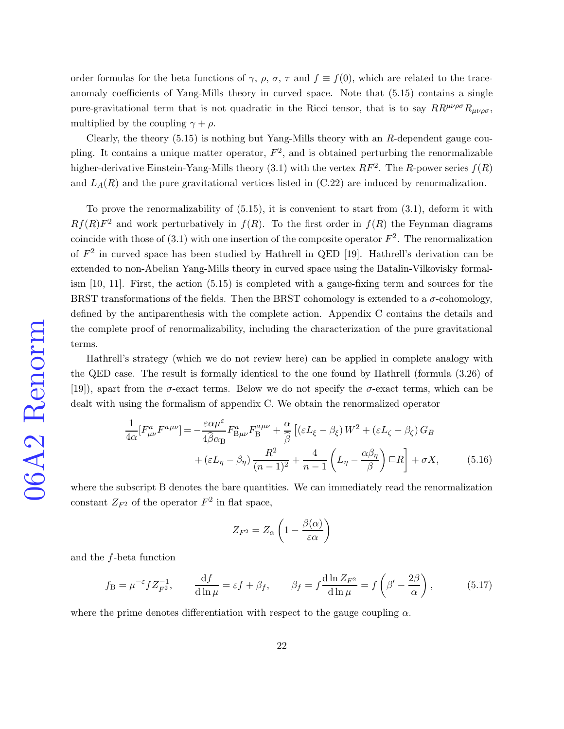order formulas for the beta functions of  $\gamma$ ,  $\rho$ ,  $\sigma$ ,  $\tau$  and  $f \equiv f(0)$ , which are related to the traceanomaly coefficients of Yang-Mills theory in curved space. Note that [\(5.15\)](#page-20-1) contains a single pure-gravitational term that is not quadratic in the Ricci tensor, that is to say  $RR^{\mu\nu\rho\sigma}R_{\mu\nu\rho\sigma}$ , multiplied by the coupling  $\gamma + \rho$ .

Clearly, the theory  $(5.15)$  is nothing but Yang-Mills theory with an R-dependent gauge coupling. It contains a unique matter operator,  $F^2$ , and is obtained perturbing the renormalizable higher-derivative Einstein-Yang-Mills theory [\(3.1\)](#page-8-2) with the vertex  $RF^2$ . The R-power series  $f(R)$ and  $L_A(R)$  and the pure gravitational vertices listed in  $(C.22)$  are induced by renormalization.

To prove the renormalizability of  $(5.15)$ , it is convenient to start from  $(3.1)$ , deform it with  $Rf(R)F<sup>2</sup>$  and work perturbatively in  $f(R)$ . To the first order in  $f(R)$  the Feynman diagrams coincide with those of  $(3.1)$  with one insertion of the composite operator  $F^2$ . The renormalization of  $F<sup>2</sup>$  in curved space has been studied by Hathrell in QED [\[19\]](#page-34-12). Hathrell's derivation can be extended to non-Abelian Yang-Mills theory in curved space using the Batalin-Vilkovisky formalism [\[10,](#page-34-3) [11\]](#page-34-4). First, the action [\(5.15\)](#page-20-1) is completed with a gauge-fixing term and sources for the BRST transformations of the fields. Then the BRST cohomology is extended to a  $\sigma$ -cohomology, defined by the antiparenthesis with the complete action. Appendix C contains the details and the complete proof of renormalizability, including the characterization of the pure gravitational terms.

Hathrell's strategy (which we do not review here) can be applied in complete analogy with the QED case. The result is formally identical to the one found by Hathrell (formula (3.26) of [\[19\]](#page-34-12)), apart from the  $\sigma$ -exact terms. Below we do not specify the  $\sigma$ -exact terms, which can be dealt with using the formalism of appendix C. We obtain the renormalized operator

<span id="page-21-0"></span>
$$
\frac{1}{4\alpha}[F^a_{\mu\nu}F^{a\mu\nu}] = -\frac{\varepsilon\alpha\mu^{\varepsilon}}{4\widehat{\beta}\alpha_B}F^a_{\text{B}\mu\nu}F^{a\mu\nu}_{\text{B}} + \frac{\alpha}{\widehat{\beta}}\left[ (\varepsilon L_{\xi} - \beta_{\xi})W^2 + (\varepsilon L_{\zeta} - \beta_{\zeta})G_B + (\varepsilon L_{\eta} - \beta_{\eta})\frac{R^2}{(n-1)^2} + \frac{4}{n-1}\left(L_{\eta} - \frac{\alpha\beta_{\eta}}{\beta}\right)\Box R\right] + \sigma X,\tag{5.16}
$$

where the subscript B denotes the bare quantities. We can immediately read the renormalization constant  $Z_{F^2}$  of the operator  $F^2$  in flat space,

$$
Z_{F^2}=Z_\alpha\left(1-\frac{\beta(\alpha)}{\varepsilon\alpha}\right)
$$

and the f-beta function

$$
f_{\rm B} = \mu^{-\varepsilon} f Z_{F^2}^{-1}, \qquad \frac{\mathrm{d}f}{\mathrm{d}\ln\mu} = \varepsilon f + \beta_f, \qquad \beta_f = f \frac{\mathrm{d}\ln Z_{F^2}}{\mathrm{d}\ln\mu} = f\left(\beta' - \frac{2\beta}{\alpha}\right),\tag{5.17}
$$

where the prime denotes differentiation with respect to the gauge coupling  $\alpha$ .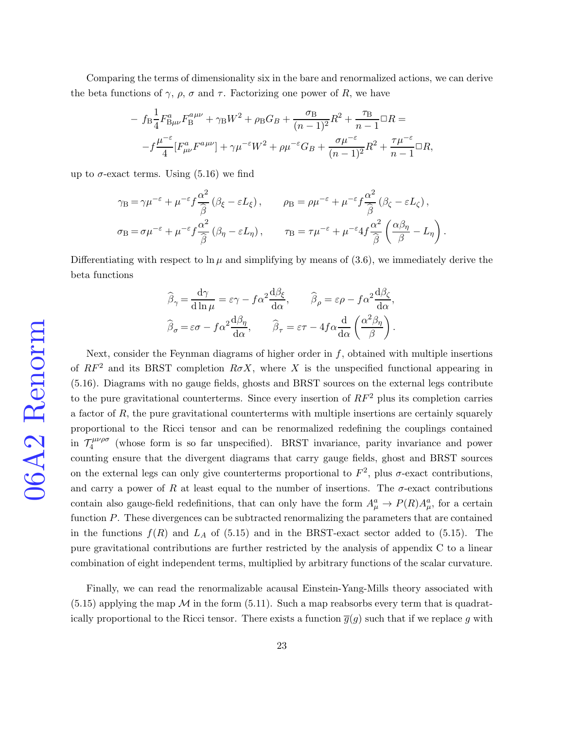Comparing the terms of dimensionality six in the bare and renormalized actions, we can derive the beta functions of  $\gamma$ ,  $\rho$ ,  $\sigma$  and  $\tau$ . Factorizing one power of R, we have

$$
- f_{\rm B} \frac{1}{4} F_{\rm B\mu\nu}^a F_{\rm B}^{a\mu\nu} + \gamma_{\rm B} W^2 + \rho_{\rm B} G_B + \frac{\sigma_{\rm B}}{(n-1)^2} R^2 + \frac{\tau_{\rm B}}{n-1} \Box R =
$$
  

$$
- f \frac{\mu^{-\varepsilon}}{4} [F_{\mu\nu}^a F^{a\mu\nu}] + \gamma \mu^{-\varepsilon} W^2 + \rho \mu^{-\varepsilon} G_B + \frac{\sigma \mu^{-\varepsilon}}{(n-1)^2} R^2 + \frac{\tau \mu^{-\varepsilon}}{n-1} \Box R,
$$

up to  $\sigma$ -exact terms. Using [\(5.16\)](#page-21-0) we find

$$
\gamma_{\rm B} = \gamma \mu^{-\varepsilon} + \mu^{-\varepsilon} f \frac{\alpha^2}{\hat{\beta}} (\beta_{\xi} - \varepsilon L_{\xi}), \qquad \rho_{\rm B} = \rho \mu^{-\varepsilon} + \mu^{-\varepsilon} f \frac{\alpha^2}{\hat{\beta}} (\beta_{\zeta} - \varepsilon L_{\zeta}),
$$
  

$$
\sigma_{\rm B} = \sigma \mu^{-\varepsilon} + \mu^{-\varepsilon} f \frac{\alpha^2}{\hat{\beta}} (\beta_{\eta} - \varepsilon L_{\eta}), \qquad \tau_{\rm B} = \tau \mu^{-\varepsilon} + \mu^{-\varepsilon} 4f \frac{\alpha^2}{\hat{\beta}} \left( \frac{\alpha \beta_{\eta}}{\beta} - L_{\eta} \right)
$$

.

Differentiating with respect to  $\ln \mu$  and simplifying by means of [\(3.6\)](#page-9-1), we immediately derive the beta functions

$$
\widehat{\beta}_{\gamma} = \frac{d\gamma}{d\ln\mu} = \varepsilon\gamma - f\alpha^2 \frac{d\beta_{\xi}}{d\alpha}, \qquad \widehat{\beta}_{\rho} = \varepsilon\rho - f\alpha^2 \frac{d\beta_{\zeta}}{d\alpha},
$$

$$
\widehat{\beta}_{\sigma} = \varepsilon\sigma - f\alpha^2 \frac{d\beta_{\eta}}{d\alpha}, \qquad \widehat{\beta}_{\tau} = \varepsilon\tau - 4f\alpha \frac{d}{d\alpha} \left(\frac{\alpha^2 \beta_{\eta}}{\beta}\right).
$$

Next, consider the Feynman diagrams of higher order in  $f$ , obtained with multiple insertions of  $RF^2$  and its BRST completion  $R\sigma X$ , where X is the unspecified functional appearing in [\(5.16\)](#page-21-0). Diagrams with no gauge fields, ghosts and BRST sources on the external legs contribute to the pure gravitational counterterms. Since every insertion of  $RF^2$  plus its completion carries a factor of  $R$ , the pure gravitational counterterms with multiple insertions are certainly squarely proportional to the Ricci tensor and can be renormalized redefining the couplings contained in  $\mathcal{T}_4^{\mu\nu\rho\sigma}$  $\frac{L\mu\nu\rho\sigma}{4}$  (whose form is so far unspecified). BRST invariance, parity invariance and power counting ensure that the divergent diagrams that carry gauge fields, ghost and BRST sources on the external legs can only give counterterms proportional to  $F^2$ , plus  $\sigma$ -exact contributions, and carry a power of R at least equal to the number of insertions. The  $\sigma$ -exact contributions contain also gauge-field redefinitions, that can only have the form  $A^a_\mu \to P(R)A^a_\mu$ , for a certain function  $P$ . These divergences can be subtracted renormalizing the parameters that are contained in the functions  $f(R)$  and  $L_A$  of [\(5.15\)](#page-20-1) and in the BRST-exact sector added to (5.15). The pure gravitational contributions are further restricted by the analysis of appendix C to a linear combination of eight independent terms, multiplied by arbitrary functions of the scalar curvature.

Finally, we can read the renormalizable acausal Einstein-Yang-Mills theory associated with  $(5.15)$  applying the map M in the form  $(5.11)$ . Such a map reabsorbs every term that is quadratically proportional to the Ricci tensor. There exists a function  $\overline{q}(q)$  such that if we replace g with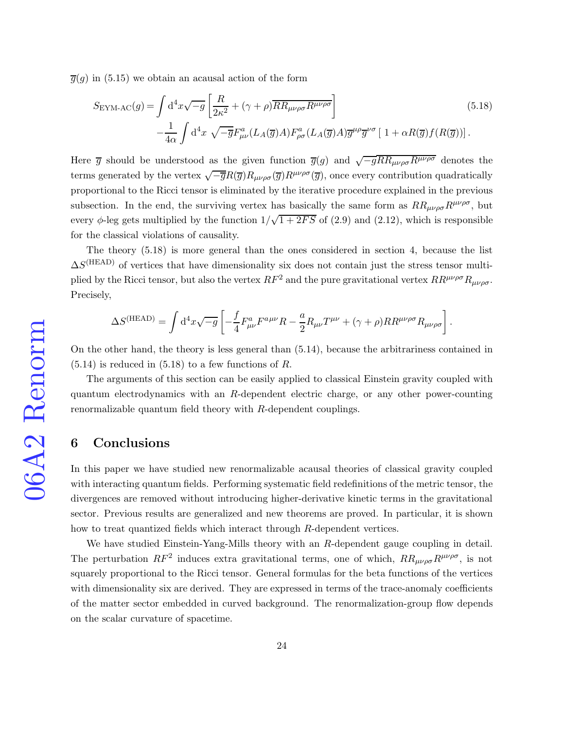$\overline{g}(g)$  in [\(5.15\)](#page-20-1) we obtain an acausal action of the form

<span id="page-23-0"></span>
$$
S_{\text{EYM-AC}}(g) = \int d^4x \sqrt{-g} \left[ \frac{R}{2\kappa^2} + (\gamma + \rho) \overline{RR_{\mu\nu\rho\sigma} R^{\mu\nu\rho\sigma}} \right]
$$
(5.18)  

$$
- \frac{1}{4\alpha} \int d^4x \sqrt{-\overline{g}} F^a_{\mu\nu} (L_A(\overline{g})A) F^a_{\rho\sigma} (L_A(\overline{g})A) \overline{g}^{\mu\rho} \overline{g}^{\nu\sigma} \left[ 1 + \alpha R(\overline{g}) f(R(\overline{g})) \right].
$$

Here  $\overline{g}$  should be understood as the given function  $\overline{g}(g)$  and  $\sqrt{-g}R_{\mu\nu\rho\sigma}R^{\mu\nu\rho\sigma}$  denotes the terms generated by the vertex  $\sqrt{-\overline{g}}R(\overline{g})R_{\mu\nu\rho\sigma}(\overline{g})R^{\mu\nu\rho\sigma}(\overline{g})$ , once every contribution quadratically proportional to the Ricci tensor is eliminated by the iterative procedure explained in the previous subsection. In the end, the surviving vertex has basically the same form as  $RR_{\mu\nu\rho\sigma}R^{\mu\nu\rho\sigma}$ , but every  $\phi$ -leg gets multiplied by the function  $1/\sqrt{1+2FS}$  of [\(2.9\)](#page-5-2) and [\(2.12\)](#page-5-1), which is responsible for the classical violations of causality.

The theory [\(5.18\)](#page-23-0) is more general than the ones considered in section 4, because the list  $\Delta S^{(HEAD)}$  of vertices that have dimensionality six does not contain just the stress tensor multiplied by the Ricci tensor, but also the vertex  $RF^2$  and the pure gravitational vertex  $RR^{\mu\nu\rho\sigma}R_{\mu\nu\rho\sigma}$ . Precisely,

$$
\Delta S^{\rm (HEAD)} = \int {\rm d}^4x \sqrt{-g} \left[ -\frac{f}{4} F^a_{\mu\nu} F^{a\mu\nu} R - \frac{a}{2} R_{\mu\nu} T^{\mu\nu} + (\gamma + \rho) R R^{\mu\nu\rho\sigma} R_{\mu\nu\rho\sigma} \right]. \label{eq:DeltaS}
$$

On the other hand, the theory is less general than [\(5.14\)](#page-20-0), because the arbitrariness contained in  $(5.14)$  is reduced in  $(5.18)$  to a few functions of R.

The arguments of this section can be easily applied to classical Einstein gravity coupled with quantum electrodynamics with an R-dependent electric charge, or any other power-counting renormalizable quantum field theory with R-dependent couplings.

# 6 Conclusions

In this paper we have studied new renormalizable acausal theories of classical gravity coupled with interacting quantum fields. Performing systematic field redefinitions of the metric tensor, the divergences are removed without introducing higher-derivative kinetic terms in the gravitational sector. Previous results are generalized and new theorems are proved. In particular, it is shown how to treat quantized fields which interact through R-dependent vertices.

We have studied Einstein-Yang-Mills theory with an R-dependent gauge coupling in detail. The perturbation  $RF^2$  induces extra gravitational terms, one of which,  $RR_{\mu\nu\rho\sigma}R^{\mu\nu\rho\sigma}$ , is not squarely proportional to the Ricci tensor. General formulas for the beta functions of the vertices with dimensionality six are derived. They are expressed in terms of the trace-anomaly coefficients of the matter sector embedded in curved background. The renormalization-group flow depends on the scalar curvature of spacetime.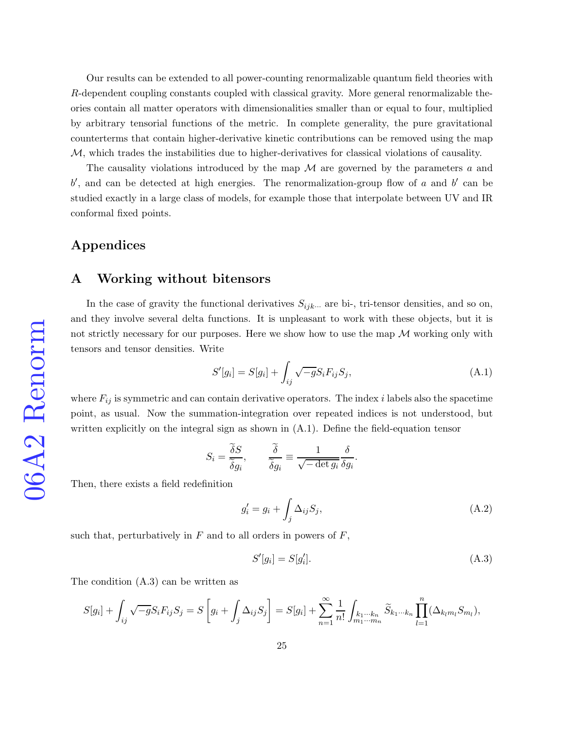Our results can be extended to all power-counting renormalizable quantum field theories with R-dependent coupling constants coupled with classical gravity. More general renormalizable theories contain all matter operators with dimensionalities smaller than or equal to four, multiplied by arbitrary tensorial functions of the metric. In complete generality, the pure gravitational counterterms that contain higher-derivative kinetic contributions can be removed using the map M, which trades the instabilities due to higher-derivatives for classical violations of causality.

The causality violations introduced by the map  $\mathcal M$  are governed by the parameters a and  $b'$ , and can be detected at high energies. The renormalization-group flow of a and  $b'$  can be studied exactly in a large class of models, for example those that interpolate between UV and IR conformal fixed points.

## Appendices

## A Working without bitensors

In the case of gravity the functional derivatives  $S_{ijk\cdots}$  are bi-, tri-tensor densities, and so on, and they involve several delta functions. It is unpleasant to work with these objects, but it is not strictly necessary for our purposes. Here we show how to use the map  $\mathcal M$  working only with tensors and tensor densities. Write

$$
S'[g_i] = S[g_i] + \int_{ij} \sqrt{-g} S_i F_{ij} S_j,
$$
\n(A.1)

where  $F_{ij}$  is symmetric and can contain derivative operators. The index i labels also the spacetime point, as usual. Now the summation-integration over repeated indices is not understood, but written explicitly on the integral sign as shown in [\(A.1\)](#page-27-0). Define the field-equation tensor

$$
S_i = \frac{\widetilde{\delta}S}{\widetilde{\delta}g_i}, \qquad \frac{\widetilde{\delta}}{\widetilde{\delta}g_i} \equiv \frac{1}{\sqrt{-\det g_i}} \frac{\delta}{\delta g_i}.
$$

Then, there exists a field redefinition

$$
g_i' = g_i + \int_j \Delta_{ij} S_j,\tag{A.2}
$$

such that, perturbatively in  $F$  and to all orders in powers of  $F$ ,

$$
S'[g_i] = S[g'_i].\tag{A.3}
$$

The condition [\(A.3\)](#page-28-0) can be written as

$$
S[g_i] + \int_{ij} \sqrt{-g} S_i F_{ij} S_j = S\left[g_i + \int_j \Delta_{ij} S_j\right] = S[g_i] + \sum_{n=1}^{\infty} \frac{1}{n!} \int_{\substack{k_1 \cdots k_n \\ m_1 \cdots m_n}} \widetilde{S}_{k_1 \cdots k_n} \prod_{l=1}^n (\Delta_{k_l m_l} S_{m_l}),
$$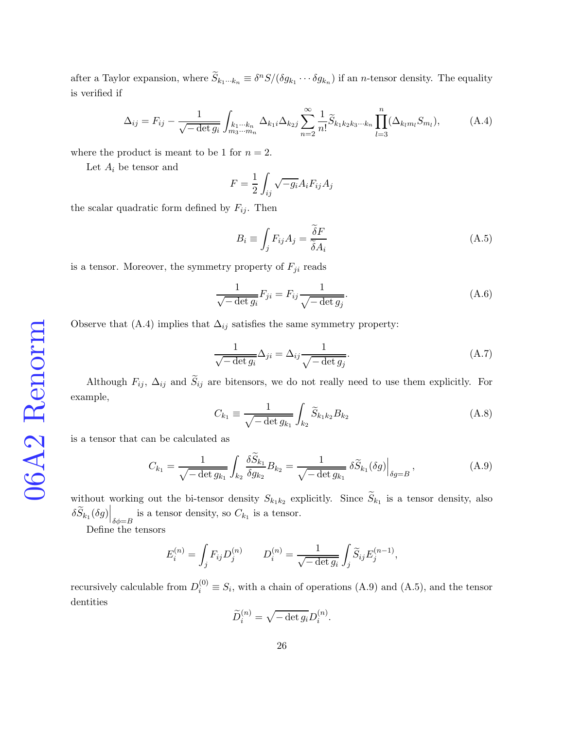after a Taylor expansion, where  $\tilde{S}_{k_1\cdots k_n} \equiv \delta^n S/(\delta g_{k_1}\cdots \delta g_{k_n})$  if an *n*-tensor density. The equality is verified if

$$
\Delta_{ij} = F_{ij} - \frac{1}{\sqrt{-\det g_i}} \int_{k_1 \cdots k_n} \Delta_{k_1 i} \Delta_{k_2 j} \sum_{n=2}^{\infty} \frac{1}{n!} \widetilde{S}_{k_1 k_2 k_3 \cdots k_n} \prod_{l=3}^n (\Delta_{k_l m_l} S_{m_l}), \tag{A.4}
$$

where the product is meant to be 1 for  $n = 2$ .

Let  $A_i$  be tensor and

$$
F = \frac{1}{2} \int_{ij} \sqrt{-g_i} A_i F_{ij} A_j
$$

the scalar quadratic form defined by  $F_{ij}$ . Then

$$
B_i \equiv \int_j F_{ij} A_j = \frac{\tilde{\delta} F}{\tilde{\delta} A_i} \tag{A.5}
$$

is a tensor. Moreover, the symmetry property of  $F_{ji}$  reads

$$
\frac{1}{\sqrt{-\det g_i}} F_{ji} = F_{ij} \frac{1}{\sqrt{-\det g_j}}.
$$
\n(A.6)

Observe that [\(A.4\)](#page-28-1) implies that  $\Delta_{ij}$  satisfies the same symmetry property:

$$
\frac{1}{\sqrt{-\det g_i}} \Delta_{ji} = \Delta_{ij} \frac{1}{\sqrt{-\det g_j}}.
$$
\n(A.7)

Although  $F_{ij}$ ,  $\Delta_{ij}$  and  $\widetilde{S}_{ij}$  are bitensors, we do not really need to use them explicitly. For example,

$$
C_{k_1} \equiv \frac{1}{\sqrt{-\det g_{k_1}}} \int_{k_2} \widetilde{S}_{k_1 k_2} B_{k_2}
$$
 (A.8)

is a tensor that can be calculated as

$$
C_{k_1} = \frac{1}{\sqrt{-\det g_{k_1}}} \int_{k_2} \frac{\delta \tilde{S}_{k_1}}{\delta g_{k_2}} B_{k_2} = \frac{1}{\sqrt{-\det g_{k_1}}} \delta \tilde{S}_{k_1}(\delta g) \Big|_{\delta g = B}, \tag{A.9}
$$

without working out the bi-tensor density  $S_{k_1k_2}$  explicitly. Since  $S_{k_1}$  is a tensor density, also  $\delta \widetilde{S}_{k_1}(\delta g) \Big|_{\delta \phi = B}$  is a tensor density, so  $C_{k_1}$  is a tensor.

Define the tensors

$$
E_i^{(n)} = \int_j F_{ij} D_j^{(n)} \qquad D_i^{(n)} = \frac{1}{\sqrt{-\det g_i}} \int_j \widetilde{S}_{ij} E_j^{(n-1)},
$$

recursively calculable from  $D_i^{(0)} \equiv S_i$ , with a chain of operations [\(A.9\)](#page-29-0) and [\(A.5\)](#page-28-2), and the tensor dentities

$$
\widetilde{D}_i^{(n)} = \sqrt{-\det g_i} D_i^{(n)}.
$$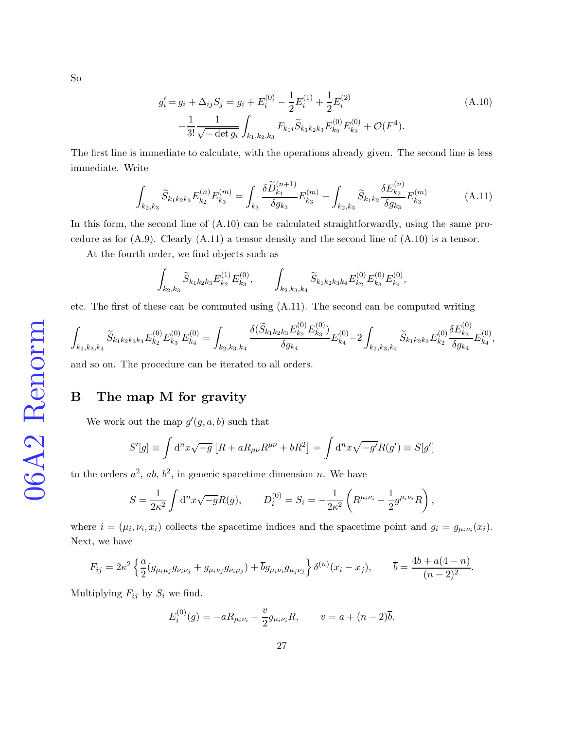$$
g_i' = g_i + \Delta_{ij} S_j = g_i + E_i^{(0)} - \frac{1}{2} E_i^{(1)} + \frac{1}{2} E_i^{(2)}
$$
  

$$
-\frac{1}{3!} \frac{1}{\sqrt{-\det g_i}} \int_{k_1, k_2, k_3} F_{k_1 i} \widetilde{S}_{k_1 k_2 k_3} E_{k_2}^{(0)} E_{k_3}^{(0)} + \mathcal{O}(F^4).
$$
 (A.10)

The first line is immediate to calculate, with the operations already given. The second line is less immediate. Write

$$
\int_{k_2,k_3} \widetilde{S}_{k_1k_2k_3} E_{k_2}^{(n)} E_{k_3}^{(m)} = \int_{k_3} \frac{\delta \widetilde{D}_{k_1}^{(n+1)}}{\delta g_{k_3}} E_{k_3}^{(m)} - \int_{k_2,k_3} \widetilde{S}_{k_1k_2} \frac{\delta E_{k_2}^{(n)}}{\delta g_{k_3}} E_{k_3}^{(m)} \tag{A.11}
$$

In this form, the second line of [\(A.10\)](#page-29-1) can be calculated straightforwardly, using the same procedure as for  $(A.9)$ . Clearly  $(A.11)$  a tensor density and the second line of  $(A.10)$  is a tensor.

At the fourth order, we find objects such as

$$
\int_{k_2,k_3} \widetilde{S}_{k_1k_2k_3} E_{k_2}^{(1)} E_{k_3}^{(0)}, \qquad \int_{k_2,k_3,k_4} \widetilde{S}_{k_1k_2k_3k_4} E_{k_2}^{(0)} E_{k_3}^{(0)} E_{k_4}^{(0)},
$$

etc. The first of these can be commuted using [\(A.11\)](#page-29-2). The second can be computed writing

$$
\int_{k_2,k_3,k_4} \widetilde{S}_{k_1k_2k_3k_4} E_{k_2}^{(0)} E_{k_3}^{(0)} E_{k_4}^{(0)} = \int_{k_2,k_3,k_4} \frac{\delta(\widetilde{S}_{k_1k_2k_3} E_{k_2}^{(0)} E_{k_3}^{(0)})}{\delta g_{k_4}} E_{k_4}^{(0)} - 2 \int_{k_2,k_3,k_4} \widetilde{S}_{k_1k_2k_3} E_{k_2}^{(0)} \frac{\delta E_{k_3}^{(0)}}{\delta g_{k_4}} E_{k_4}^{(0)},
$$

and so on. The procedure can be iterated to all orders.

# The map M for gravity

We work out the map  $g'(g, a, b)$  such that

$$
S'[g] \equiv \int d^n x \sqrt{-g} \left[ R + a R_{\mu\nu} R^{\mu\nu} + b R^2 \right] = \int d^n x \sqrt{-g'} R(g') \equiv S[g']
$$

to the orders  $a^2$ ,  $ab$ ,  $b^2$ , in generic spacetime dimension n. We have

$$
S = \frac{1}{2\kappa^2} \int d^n x \sqrt{-g} R(g), \qquad D_i^{(0)} = S_i = -\frac{1}{2\kappa^2} \left( R^{\mu_i \nu_i} - \frac{1}{2} g^{\mu_i \nu_i} R \right),
$$

where  $i = (\mu_i, \nu_i, x_i)$  collects the spacetime indices and the spacetime point and  $g_i = g_{\mu_i \nu_i}(x_i)$ . Next, we have

$$
F_{ij} = 2\kappa^2 \left\{ \frac{a}{2} (g_{\mu_i \mu_j} g_{\nu_i \nu_j} + g_{\mu_i \nu_j} g_{\nu_i \mu_j}) + \overline{b} g_{\mu_i \nu_i} g_{\mu_j \nu_j} \right\} \delta^{(n)}(x_i - x_j), \qquad \overline{b} = \frac{4b + a(4-n)}{(n-2)^2}.
$$

Multiplying  $F_{ij}$  by  $S_i$  we find.

$$
E_i^{(0)}(g) = -aR_{\mu_i\nu_i} + \frac{v}{2}g_{\mu_i\nu_i}R, \qquad v = a + (n-2)\overline{b}.
$$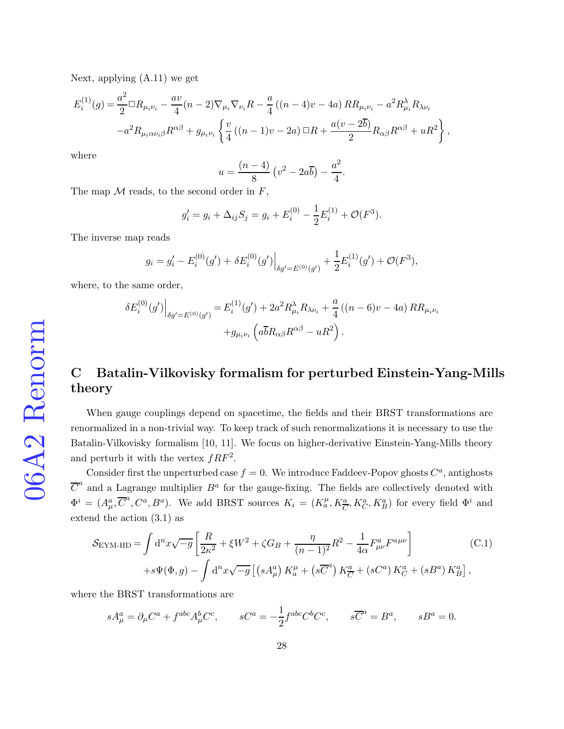Next, applying [\(A.11\)](#page-29-2) we get

$$
E_i^{(1)}(g) = \frac{a^2}{2} \Box R_{\mu_i \nu_i} - \frac{av}{4} (n-2) \nabla_{\mu_i} \nabla_{\nu_i} R - \frac{a}{4} ((n-4)v - 4a) R R_{\mu_i \nu_i} - a^2 R_{\mu_i}^{\lambda} R_{\lambda \nu_i} - a^2 R_{\mu_i \alpha \nu_i \beta} R^{\alpha \beta} + g_{\mu_i \nu_i} \left\{ \frac{v}{4} ((n-1)v - 2a) \Box R + \frac{a(v - 2\overline{b})}{2} R_{\alpha \beta} R^{\alpha \beta} + u R^2 \right\},
$$

where

$$
u = \frac{(n-4)}{8} \left(v^2 - 2a\overline{b}\right) - \frac{a^2}{4}.
$$

The map  $M$  reads, to the second order in  $F$ ,

$$
g'_{i} = g_{i} + \Delta_{ij} S_{j} = g_{i} + E_{i}^{(0)} - \frac{1}{2} E_{i}^{(1)} + \mathcal{O}(F^{3}).
$$

The inverse map reads

$$
g_i = g'_i - E_i^{(0)}(g') + \delta E_i^{(0)}(g')\Big|_{\delta g' = E^{(0)}(g')} + \frac{1}{2}E_i^{(1)}(g') + \mathcal{O}(F^3),
$$

where, to the same order,

$$
\delta E_i^{(0)}(g')\Big|_{\delta g' = E^{(0)}(g')} = E_i^{(1)}(g') + 2a^2 R_{\mu_i}^{\lambda} R_{\lambda \nu_i} + \frac{a}{4} ((n - 6)v - 4a) R R_{\mu_i \nu_i} + g_{\mu_i \nu_i} (a \overline{b} R_{\alpha \beta} R^{\alpha \beta} - u R^2).
$$

# C Batalin-Vilkovisky formalism for perturbed Einstein-Yang-Mills theory

When gauge couplings depend on spacetime, the fields and their BRST transformations are renormalized in a non-trivial way. To keep track of such renormalizations it is necessary to use the Batalin-Vilkovisky formalism [\[10,](#page-34-3) [11\]](#page-34-4). We focus on higher-derivative Einstein-Yang-Mills theory and perturb it with the vertex  $fRF^2$ .

Consider first the unperturbed case  $f = 0$ . We introduce Faddeev-Popov ghosts  $C^a$ , antighosts  $\overline{C}^a$  and a Lagrange multiplier  $B^a$  for the gauge-fixing. The fields are collectively denoted with  $\Phi^i = (A^a_\mu, \overline{C}^a, C^a, B^a)$ . We add BRST sources  $K_i = (K_a^\mu, K_{\overline{C}}^a, K_G^a, K_B^a)$  for every field  $\Phi^i$  and extend the action [\(3.1\)](#page-8-2) as

<span id="page-27-0"></span>
$$
S_{\text{EYM-HD}} = \int \mathrm{d}^n x \sqrt{-g} \left[ \frac{R}{2\kappa^2} + \xi W^2 + \zeta G_B + \frac{\eta}{(n-1)^2} R^2 - \frac{1}{4\alpha} F^a_{\mu\nu} F^{a\mu\nu} \right] \tag{C.1}
$$

$$
+ s\Psi(\Phi, g) - \int \mathrm{d}^n x \sqrt{-g} \left[ \left( s A^a_\mu \right) K^{\mu}_a + \left( s \overline{C}^a \right) K^a_{\overline{C}} + \left( s C^a \right) K^a_C + \left( s B^a \right) K^a_B \right],
$$

where the BRST transformations are

$$
sA^a_\mu = \partial_\mu C^a + f^{abc} A^b_\mu C^c, \qquad sC^a = -\frac{1}{2} f^{abc} C^b C^c, \qquad s\overline{C}^a = B^a, \qquad sB^a = 0.
$$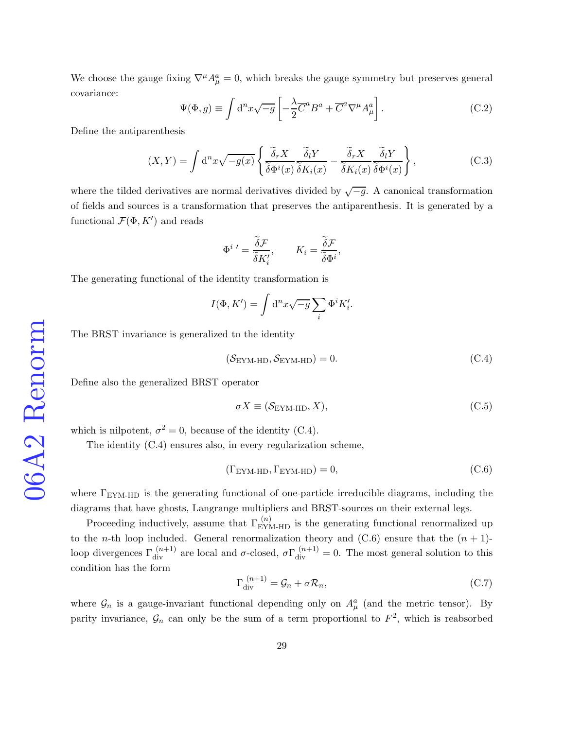We choose the gauge fixing  $\nabla^{\mu} A_{\mu}^{a} = 0$ , which breaks the gauge symmetry but preserves general covariance:

$$
\Psi(\Phi, g) \equiv \int d^n x \sqrt{-g} \left[ -\frac{\lambda}{2} \overline{C}^a B^a + \overline{C}^a \nabla^\mu A^a_\mu \right]. \tag{C.2}
$$

,

Define the antiparenthesis

<span id="page-28-0"></span>
$$
(X,Y) = \int d^n x \sqrt{-g(x)} \left\{ \frac{\tilde{\delta}_r X}{\tilde{\delta} \Phi^i(x)} \frac{\tilde{\delta}_l Y}{\tilde{\delta} K_i(x)} - \frac{\tilde{\delta}_r X}{\tilde{\delta} K_i(x)} \frac{\tilde{\delta}_l Y}{\tilde{\delta} \Phi^i(x)} \right\},
$$
(C.3)

where the tilded derivatives are normal derivatives divided by  $\sqrt{-g}$ . A canonical transformation of fields and sources is a transformation that preserves the antiparenthesis. It is generated by a functional  $\mathcal{F}(\Phi, K')$  and reads

$$
\Phi^{i}{}' = \frac{\widetilde{\delta} \mathcal{F}}{\widetilde{\delta} K'_{i}}, \qquad K_{i} = \frac{\widetilde{\delta} \mathcal{F}}{\widetilde{\delta} \Phi^{i}}
$$

The generating functional of the identity transformation is

$$
I(\Phi, K') = \int d^n x \sqrt{-g} \sum_i \Phi^i K'_i.
$$

The BRST invariance is generalized to the identity

<span id="page-28-1"></span>
$$
(\mathcal{S}_{EYM\text{-HD}}, \mathcal{S}_{EYM\text{-HD}}) = 0. \tag{C.4}
$$

Define also the generalized BRST operator

<span id="page-28-2"></span>
$$
\sigma X \equiv (\mathcal{S}_{\text{EYM-HD}}, X), \tag{C.5}
$$

which is nilpotent,  $\sigma^2 = 0$ , because of the identity [\(C.4\)](#page-28-1).

The identity [\(C.4\)](#page-28-1) ensures also, in every regularization scheme,

<span id="page-28-3"></span>
$$
(\Gamma_{\text{EYM-HD}}, \Gamma_{\text{EYM-HD}}) = 0,\tag{C.6}
$$

where  $\Gamma_{\rm EYM\text{-}HD}$  is the generating functional of one-particle irreducible diagrams, including the diagrams that have ghosts, Langrange multipliers and BRST-sources on their external legs.

Proceeding inductively, assume that  $\Gamma_{\rm EYM\text{-}HD}^{(n)}$  is the generating functional renormalized up to the *n*-th loop included. General renormalization theory and  $(C.6)$  ensure that the  $(n + 1)$ loop divergences  $\Gamma_{div}^{(n+1)}$  are local and  $\sigma$ -closed,  $\sigma \Gamma_{div}^{(n+1)} = 0$ . The most general solution to this condition has the form

<span id="page-28-4"></span>
$$
\Gamma_{\rm div}^{(n+1)} = \mathcal{G}_n + \sigma \mathcal{R}_n,\tag{C.7}
$$

where  $\mathcal{G}_n$  is a gauge-invariant functional depending only on  $A^a_\mu$  (and the metric tensor). By parity invariance,  $\mathcal{G}_n$  can only be the sum of a term proportional to  $F^2$ , which is reabsorbed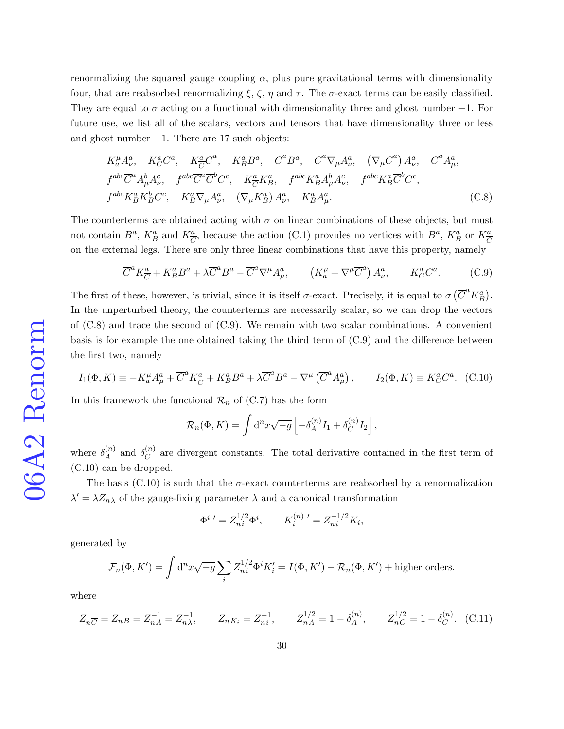renormalizing the squared gauge coupling  $\alpha$ , plus pure gravitational terms with dimensionality four, that are reabsorbed renormalizing  $\xi$ ,  $\zeta$ ,  $\eta$  and  $\tau$ . The  $\sigma$ -exact terms can be easily classified. They are equal to  $\sigma$  acting on a functional with dimensionality three and ghost number  $-1$ . For future use, we list all of the scalars, vectors and tensors that have dimensionality three or less and ghost number −1. There are 17 such objects:

<span id="page-29-3"></span>
$$
K_a^{\mu} A_{\nu}^a, K_C^a C^a, K_{\overline{C}}^a \overline{C}^a, K_B^a B^a, \overline{C}^a B^a, \overline{C}^a \nabla_{\mu} A_{\nu}^a, (\nabla_{\mu} \overline{C}^a) A_{\nu}^a, \overline{C}^a A_{\mu}^a,
$$
  
\n
$$
f^{abc} \overline{C}^a A_{\mu}^b A_{\nu}^c, f^{abc} \overline{C}^a \overline{C}^b C^c, K_{\overline{C}}^a K_B^a, f^{abc} K_B^a A_{\mu}^b A_{\nu}^c, f^{abc} K_B^a \overline{C}^b C^c,
$$
  
\n
$$
f^{abc} K_B^a K_B^b C^c, K_B^a \nabla_{\mu} A_{\nu}^a, (\nabla_{\mu} K_B^a) A_{\nu}^a, K_B^a A_{\mu}^a.
$$
\n(C.8)

The counterterms are obtained acting with  $\sigma$  on linear combinations of these objects, but must not contain  $B^a$ ,  $K_B^a$  and  $K_{\overline{C}}^a$ , because the action [\(C.1\)](#page-27-0) provides no vertices with  $B^a$ ,  $K_B^a$  or  $K_{\overline{C}}^a$ on the external legs. There are only three linear combinations that have this property, namely

<span id="page-29-0"></span>
$$
\overline{C}^a K^a_{\overline{C}} + K^a_B B^a + \lambda \overline{C}^a B^a - \overline{C}^a \nabla^\mu A^a_\mu, \qquad \left( K^{\mu}_a + \nabla^\mu \overline{C}^a \right) A^a_\nu, \qquad K^a_C C^a. \tag{C.9}
$$

The first of these, however, is trivial, since it is itself  $\sigma$ -exact. Precisely, it is equal to  $\sigma(\overline{C}^a K_B^a)$ . In the unperturbed theory, the counterterms are necessarily scalar, so we can drop the vectors of  $(C.8)$  and trace the second of  $(C.9)$ . We remain with two scalar combinations. A convenient basis is for example the one obtained taking the third term of [\(C.9\)](#page-29-0) and the difference between the first two, namely

<span id="page-29-1"></span>
$$
I_1(\Phi, K) \equiv -K_a^{\mu} A_{\mu}^a + \overline{C}^a K_{\overline{C}}^a + K_B^a B^a + \lambda \overline{C}^a B^a - \nabla^{\mu} (\overline{C}^a A_{\mu}^a), \qquad I_2(\Phi, K) \equiv K_C^a C^a. \tag{C.10}
$$

In this framework the functional  $\mathcal{R}_n$  of [\(C.7\)](#page-28-4) has the form

$$
\mathcal{R}_n(\Phi, K) = \int \mathrm{d}^n x \sqrt{-g} \left[ -\delta_A^{(n)} I_1 + \delta_C^{(n)} I_2 \right],
$$

where  $\delta_A^{(n)}$  $\mathcal{L}_{A}^{(n)}$  and  $\mathcal{S}_{C}^{(n)}$  $C^{(n)}$  are divergent constants. The total derivative contained in the first term of [\(C.10\)](#page-29-1) can be dropped.

The basis [\(C.10\)](#page-29-1) is such that the  $\sigma$ -exact counterterms are reabsorbed by a renormalization  $\lambda' = \lambda Z_{n\lambda}$  of the gauge-fixing parameter  $\lambda$  and a canonical transformation

$$
\Phi^{i}{}' = Z_{ni}^{1/2} \Phi^i, \qquad K_i^{(n)}{}' = Z_{ni}^{-1/2} K_i,
$$

generated by

$$
\mathcal{F}_n(\Phi, K') = \int d^n x \sqrt{-g} \sum_i Z_{ni}^{1/2} \Phi^i K'_i = I(\Phi, K') - \mathcal{R}_n(\Phi, K') + \text{higher orders.}
$$

where

<span id="page-29-2"></span>
$$
Z_{n\overline{C}} = Z_{n\overline{B}} = Z_{n\overline{A}}^{-1} = Z_{n\lambda}^{-1}, \qquad Z_{n\overline{K}_i} = Z_{n\overline{i}}^{-1}, \qquad Z_{n\overline{A}}^{1/2} = 1 - \delta_A^{(n)}, \qquad Z_{n\overline{C}}^{1/2} = 1 - \delta_C^{(n)}.
$$
 (C.11)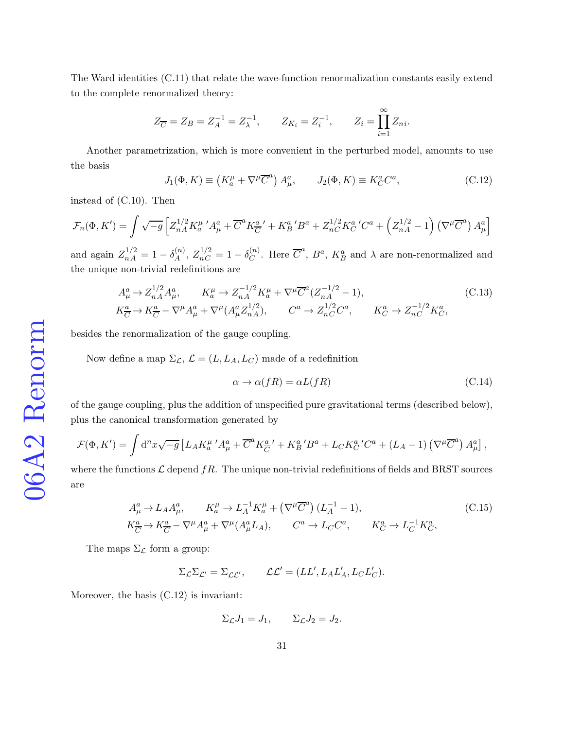The Ward identities [\(C.11\)](#page-29-2) that relate the wave-function renormalization constants easily extend to the complete renormalized theory:

$$
Z_{\overline{C}} = Z_B = Z_A^{-1} = Z_{\lambda}^{-1}, \qquad Z_{K_i} = Z_i^{-1}, \qquad Z_i = \prod_{i=1}^{\infty} Z_{ni}.
$$

Another parametrization, which is more convenient in the perturbed model, amounts to use the basis

<span id="page-30-0"></span>
$$
J_1(\Phi, K) \equiv \left( K_a^{\mu} + \nabla^{\mu} \overline{C}^a \right) A_{\mu}^a, \qquad J_2(\Phi, K) \equiv K_C^a C^a, \tag{C.12}
$$

instead of [\(C.10\)](#page-29-1). Then

$$
\mathcal{F}_n(\Phi, K') = \int \sqrt{-g} \left[ Z_{nA}^{1/2} K_a^{\mu} \,^{\prime} A_{\mu}^a + \overline{C}^a K_{\overline{C}}^{a} \,^{\prime} + K_B^{a} \,^{\prime} B^a + Z_{nC}^{1/2} K_C^a \,^{\prime} C^a + \left( Z_{nA}^{1/2} - 1 \right) \left( \nabla^{\mu} \overline{C}^a \right) A_{\mu}^a \right]
$$

and again  $Z_{nA}^{1/2} = 1 - \delta_A^{(n)}$  $Z_A^{(n)}, Z_{nC}^{1/2} = 1 - \delta_C^{(n)}$  $C^{(n)}$ . Here  $\overline{C}^a$ ,  $B^a$ ,  $K_B^a$  and  $\lambda$  are non-renormalized and the unique non-trivial redefinitions are

$$
A_{\mu}^{a} \to Z_{nA}^{1/2} A_{\mu}^{a}, \qquad K_{a}^{\mu} \to Z_{nA}^{-1/2} K_{a}^{\mu} + \nabla^{\mu} \overline{C}^{a} (Z_{nA}^{-1/2} - 1),
$$
  
\n
$$
K_{\overline{C}}^{a} \to K_{\overline{C}}^{a} - \nabla^{\mu} A_{\mu}^{a} + \nabla^{\mu} (A_{\mu}^{a} Z_{nA}^{1/2}), \qquad C^{a} \to Z_{nC}^{1/2} C^{a}, \qquad K_{C}^{a} \to Z_{nC}^{-1/2} K_{C}^{a},
$$
\n(C.13)

besides the renormalization of the gauge coupling.

Now define a map  $\Sigma_{\mathcal{L}}, \mathcal{L} = (L, L_A, L_C)$  made of a redefinition

<span id="page-30-1"></span>
$$
\alpha \to \alpha(fR) = \alpha L(fR) \tag{C.14}
$$

of the gauge coupling, plus the addition of unspecified pure gravitational terms (described below), plus the canonical transformation generated by

$$
\mathcal{F}(\Phi, K') = \int d^n x \sqrt{-g} \left[ L_A K_a^{\mu} \,^{\prime} A_{\mu}^a + \overline{C}^a K_{\overline{C}}^{a} \,^{\prime} + K_B^{a} \,^{\prime} B^a + L_C K_C^{a} \,^{\prime} C^a + (L_A - 1) \left( \nabla^{\mu} \overline{C}^a \right) A_{\mu}^a \right],
$$

where the functions  $\mathcal L$  depend  $fR$ . The unique non-trivial redefinitions of fields and BRST sources are

<span id="page-30-2"></span>
$$
A_{\mu}^{a} \to L_{A} A_{\mu}^{a}, \qquad K_{a}^{\mu} \to L_{A}^{-1} K_{a}^{\mu} + (\nabla^{\mu} \overline{C}^{a}) (L_{A}^{-1} - 1),
$$
  
\n
$$
K_{\overline{C}}^{a} \to K_{\overline{C}}^{a} - \nabla^{\mu} A_{\mu}^{a} + \nabla^{\mu} (A_{\mu}^{a} L_{A}), \qquad C^{a} \to L_{C} C^{a}, \qquad K_{C}^{a} \to L_{C}^{-1} K_{C}^{a},
$$
\n(C.15)

The maps  $\Sigma_{\mathcal{L}}$  form a group:

$$
\Sigma_{\mathcal{L}}\Sigma_{\mathcal{L}'}=\Sigma_{\mathcal{L}\mathcal{L}'},\qquad \mathcal{L}\mathcal{L}'=(LL',L_{A}L'_{A},L_{C}L'_{C}).
$$

Moreover, the basis [\(C.12\)](#page-30-0) is invariant:

$$
\Sigma_{\mathcal{L}}J_1 = J_1, \qquad \Sigma_{\mathcal{L}}J_2 = J_2.
$$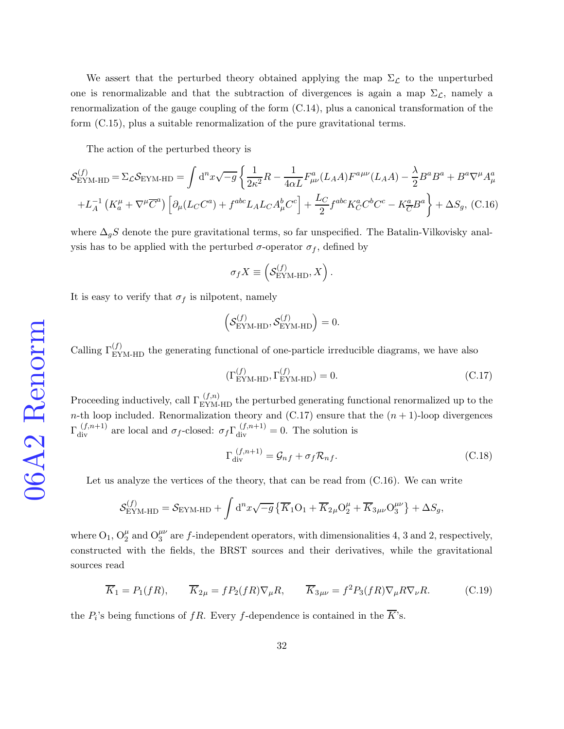We assert that the perturbed theory obtained applying the map  $\Sigma_{\mathcal{L}}$  to the unperturbed one is renormalizable and that the subtraction of divergences is again a map  $\Sigma_{\mathcal{L}}$ , namely a renormalization of the gauge coupling of the form [\(C.14\)](#page-30-1), plus a canonical transformation of the form [\(C.15\)](#page-30-2), plus a suitable renormalization of the pure gravitational terms.

The action of the perturbed theory is

<span id="page-31-1"></span>
$$
\mathcal{S}_{\text{EYM-HD}}^{(f)} = \Sigma_{\mathcal{L}} \mathcal{S}_{\text{EYM-HD}} = \int \mathrm{d}^n x \sqrt{-g} \left\{ \frac{1}{2\kappa^2} R - \frac{1}{4\alpha L} F^a_{\mu\nu} (L_A A) F^{a\mu\nu} (L_A A) - \frac{\lambda}{2} B^a B^a + B^a \nabla^\mu A^a_\mu \right. \left. + L_A^{-1} \left( K_a^\mu + \nabla^\mu \overline{C}^a \right) \left[ \partial_\mu (L_C C^a) + f^{abc} L_A L_C A^b_\mu C^c \right] + \frac{L_C}{2} f^{abc} K_C^a C^b C^c - K_{\overline{C}}^a B^a \right\} + \Delta S_g, \tag{C.16}
$$

where  $\Delta_g S$  denote the pure gravitational terms, so far unspecified. The Batalin-Vilkovisky analysis has to be applied with the perturbed  $\sigma$ -operator  $\sigma_f$ , defined by

$$
\sigma_f X \equiv \left( \mathcal{S}_{\rm EYM\text{-}HD}^{(f)}, X \right).
$$

It is easy to verify that  $\sigma_f$  is nilpotent, namely

$$
\left(\mathcal{S}_{\text{EYM-HD}}^{(f)},\mathcal{S}_{\text{EYM-HD}}^{(f)}\right)=0.
$$

Calling  $\Gamma_{\text{EYM-HD}}^{(f)}$  the generating functional of one-particle irreducible diagrams, we have also

<span id="page-31-0"></span>
$$
(\Gamma_{\text{EYM-HD}}^{(f)}, \Gamma_{\text{EYM-HD}}^{(f)}) = 0. \tag{C.17}
$$

Proceeding inductively, call  $\Gamma_{\rm EYM\text{-}HD}^{(f,n)}$  the perturbed generating functional renormalized up to the n-th loop included. Renormalization theory and  $(C.17)$  ensure that the  $(n + 1)$ -loop divergences  $\Gamma_{div}^{(f,n+1)}$  are local and  $\sigma_f$ -closed:  $\sigma_f \Gamma_{div}^{(f,n+1)} = 0$ . The solution is

<span id="page-31-2"></span>
$$
\Gamma_{\text{div}}^{(f,n+1)} = \mathcal{G}_{nf} + \sigma_f \mathcal{R}_{nf}.
$$
\n(C.18)

Let us analyze the vertices of the theory, that can be read from [\(C.16\)](#page-31-1). We can write

$$
\mathcal{S}_{\rm EYM\text{-}HD}^{(f)} = \mathcal{S}_{\rm EYM\text{-}HD} + \int \mathrm{d}^nx \sqrt{-g} \left\{ \overline{K}_1\mathcal{O}_1 + \overline{K}_{2\mu} \mathcal{O}_2^{\mu} + \overline{K}_{3\mu\nu} \mathcal{O}_3^{\mu\nu} \right\} + \Delta S_g,
$$

where  $O_1$ ,  $O_2^{\mu}$  and  $O_3^{\mu\nu}$  are f-independent operators, with dimensionalities 4, 3 and 2, respectively, constructed with the fields, the BRST sources and their derivatives, while the gravitational sources read

$$
\overline{K}_1 = P_1(fR), \qquad \overline{K}_{2\mu} = fP_2(fR)\nabla_{\mu}R, \qquad \overline{K}_{3\mu\nu} = f^2 P_3(fR)\nabla_{\mu}R\nabla_{\nu}R. \tag{C.19}
$$

the  $P_i$ 's being functions of  $fR$ . Every f-dependence is contained in the K's.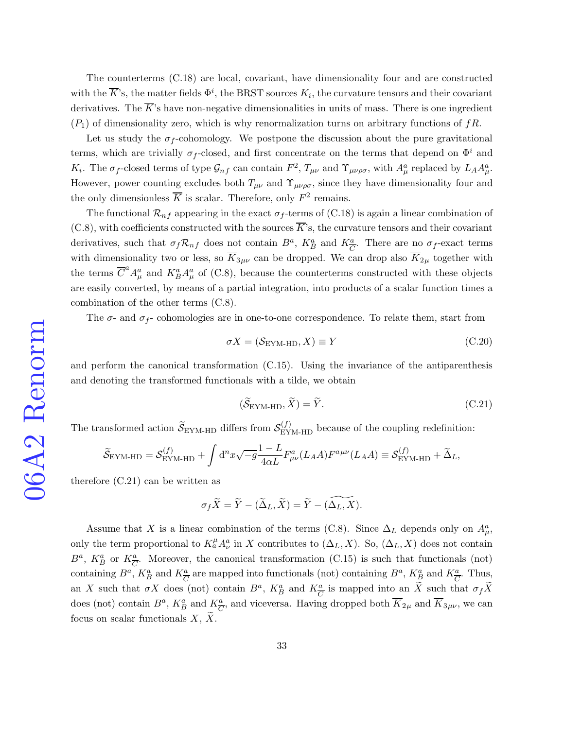The counterterms [\(C.18\)](#page-31-2) are local, covariant, have dimensionality four and are constructed with the  $\overline{K}$ 's, the matter fields  $\Phi^i$ , the BRST sources  $K_i$ , the curvature tensors and their covariant derivatives. The  $\overline{K}$ 's have non-negative dimensionalities in units of mass. There is one ingredient  $(P_1)$  of dimensionality zero, which is why renormalization turns on arbitrary functions of  $fR$ .

Let us study the  $\sigma_f$ -cohomology. We postpone the discussion about the pure gravitational terms, which are trivially  $\sigma_f$ -closed, and first concentrate on the terms that depend on  $\Phi^i$  and K<sub>i</sub>. The  $\sigma_f$ -closed terms of type  $\mathcal{G}_{nf}$  can contain  $F^2$ ,  $T_{\mu\nu}$  and  $\Upsilon_{\mu\nu\rho\sigma}$ , with  $A^a_\mu$  replaced by  $L_A A^a_\mu$ . However, power counting excludes both  $T_{\mu\nu}$  and  $\Upsilon_{\mu\nu\rho\sigma}$ , since they have dimensionality four and the only dimensionless  $\overline{K}$  is scalar. Therefore, only  $F^2$  remains.

The functional  $\mathcal{R}_{nf}$  appearing in the exact  $\sigma_f$ -terms of [\(C.18\)](#page-31-2) is again a linear combination of  $(C.8)$ , with coefficients constructed with the sources  $\overline{K}$ 's, the curvature tensors and their covariant derivatives, such that  $\sigma_f \mathcal{R}_{nf}$  does not contain  $B^a$ ,  $K^a_B$  and  $K^a_{\overline{C}}$ . There are no  $\sigma_f$ -exact terms with dimensionality two or less, so  $\overline{K}_{3\mu\nu}$  can be dropped. We can drop also  $\overline{K}_{2\mu}$  together with the terms  $\overline{C}^a A^a_\mu$  and  $K^a_B A^a_\mu$  of [\(C.8\)](#page-29-3), because the counterterms constructed with these objects are easily converted, by means of a partial integration, into products of a scalar function times a combination of the other terms [\(C.8\)](#page-29-3).

The  $\sigma$ - and  $\sigma_f$ - cohomologies are in one-to-one correspondence. To relate them, start from

$$
\sigma X = (\mathcal{S}_{\text{EYM-HD}}, X) \equiv Y \tag{C.20}
$$

and perform the canonical transformation [\(C.15\)](#page-30-2). Using the invariance of the antiparenthesis and denoting the transformed functionals with a tilde, we obtain

<span id="page-32-0"></span>
$$
(\widetilde{\mathcal{S}}_{\text{EYM-HD}}, \widetilde{X}) = \widetilde{Y}.\tag{C.21}
$$

The transformed action  $\widetilde{S}_{E\text{YM-HD}}$  differs from  $S_{E\text{YM-HD}}^{(f)}$  because of the coupling redefinition:

$$
\widetilde{S}_{\text{EYM-HD}} = \mathcal{S}_{\text{EYM-HD}}^{(f)} + \int d^n x \sqrt{-g} \frac{1 - L}{4\alpha L} F^a_{\mu\nu}(L_A A) F^{a\mu\nu}(L_A A) \equiv \mathcal{S}_{\text{EYM-HD}}^{(f)} + \widetilde{\Delta}_L,
$$

therefore [\(C.21\)](#page-32-0) can be written as

$$
\sigma_f \widetilde{X} = \widetilde{Y} - (\widetilde{\Delta}_L, \widetilde{X}) = \widetilde{Y} - (\widetilde{\Delta_L, X}).
$$

Assume that X is a linear combination of the terms [\(C.8\)](#page-29-3). Since  $\Delta_L$  depends only on  $A^a_\mu$ , only the term proportional to  $K_a^{\mu} A_{\nu}^a$  in X contributes to  $(\Delta_L, X)$ . So,  $(\Delta_L, X)$  does not contain  $B^a$ ,  $K_B^a$  or  $K_{\overline{C}}^a$ . Moreover, the canonical transformation [\(C.15\)](#page-30-2) is such that functionals (not) containing  $B^a$ ,  $K_B^a$  and  $K_{\overline{C}}^a$  are mapped into functionals (not) containing  $B^a$ ,  $K_B^a$  and  $K_{\overline{C}}^a$ . Thus, an X such that  $\sigma X$  does (not) contain  $B^a$ ,  $K_B^a$  and  $K_{\overline{C}}^a$  is mapped into an X such that  $\sigma_f X$ does (not) contain  $B^a$ ,  $K_B^a$  and  $K_{\overline{C}}^a$ , and viceversa. Having dropped both  $\overline{K}_{2\mu}$  and  $\overline{K}_{3\mu\nu}$ , we can focus on scalar functionals  $X, X$ .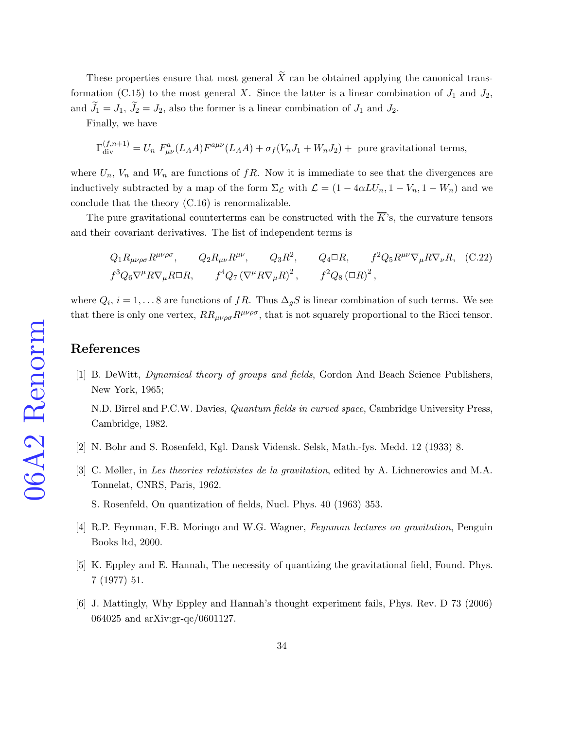These properties ensure that most general  $\widetilde{X}$  can be obtained applying the canonical trans-formation [\(C.15\)](#page-30-2) to the most general X. Since the latter is a linear combination of  $J_1$  and  $J_2$ , and  $\tilde{J}_1 = J_1$ ,  $\tilde{J}_2 = J_2$ , also the former is a linear combination of  $J_1$  and  $J_2$ .

Finally, we have

$$
\Gamma_{\text{div}}^{(f,n+1)} = U_n F_{\mu\nu}^a (L_A A) F^{a\mu\nu} (L_A A) + \sigma_f (V_n J_1 + W_n J_2) + \text{ pure gravitational terms},
$$

where  $U_n$ ,  $V_n$  and  $W_n$  are functions of  $fR$ . Now it is immediate to see that the divergences are inductively subtracted by a map of the form  $\Sigma_{\mathcal{L}}$  with  $\mathcal{L} = (1 - 4\alpha L U_n, 1 - V_n, 1 - W_n)$  and we conclude that the theory [\(C.16\)](#page-31-1) is renormalizable.

The pure gravitational counterterms can be constructed with the  $\overline{K}$ 's, the curvature tensors and their covariant derivatives. The list of independent terms is

<span id="page-33-6"></span> $Q_1 R_{\mu\nu\rho\sigma} R^{\mu\nu\rho\sigma}$ ,  $Q_2 R_{\mu\nu} R^{\mu\nu}$ ,  $Q_3 R^2$ ,  $Q_4 \Box R$ ,  $f^2 Q_5 R^{\mu\nu} \nabla_{\mu} R \nabla_{\nu} R$ , (C.22)  $f^3 Q_6 \nabla^{\mu} R \nabla_{\mu} R \Box R$ ,  $f^4 Q_7 (\nabla^{\mu} R \nabla_{\mu} R)^2$ ,  $f^2 Q_8 (\Box R)^2$ ,

where  $Q_i$ ,  $i = 1, \ldots 8$  are functions of fR. Thus  $\Delta_g S$  is linear combination of such terms. We see that there is only one vertex,  $RR_{\mu\nu\rho\sigma}R^{\mu\nu\rho\sigma}$ , that is not squarely proportional to the Ricci tensor.

## <span id="page-33-0"></span>References

[1] B. DeWitt, Dynamical theory of groups and fields, Gordon And Beach Science Publishers, New York, 1965;

N.D. Birrel and P.C.W. Davies, Quantum fields in curved space, Cambridge University Press, Cambridge, 1982.

- <span id="page-33-2"></span><span id="page-33-1"></span>[2] N. Bohr and S. Rosenfeld, Kgl. Dansk Vidensk. Selsk, Math.-fys. Medd. 12 (1933) 8.
- [3] C. Møller, in Les theories relativistes de la gravitation, edited by A. Lichnerowics and M.A. Tonnelat, CNRS, Paris, 1962.
	- S. Rosenfeld, On quantization of fields, Nucl. Phys. 40 (1963) 353.
- <span id="page-33-4"></span><span id="page-33-3"></span>[4] R.P. Feynman, F.B. Moringo and W.G. Wagner, Feynman lectures on gravitation, Penguin Books ltd, 2000.
- <span id="page-33-5"></span>[5] K. Eppley and E. Hannah, The necessity of quantizing the gravitational field, Found. Phys. 7 (1977) 51.
- [6] J. Mattingly, Why Eppley and Hannah's thought experiment fails, Phys. Rev. D 73 (2006) 064025 and arXiv:gr-qc/0601127.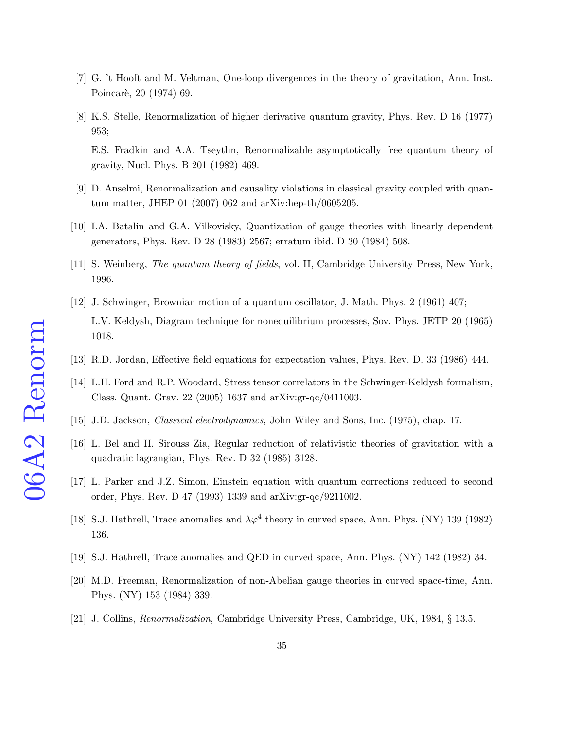- <span id="page-34-1"></span><span id="page-34-0"></span>[7] G. 't Hooft and M. Veltman, One-loop divergences in the theory of gravitation, Ann. Inst. Poincarè, 20 (1974) 69.
- [8] K.S. Stelle, Renormalization of higher derivative quantum gravity, Phys. Rev. D 16 (1977) 953; E.S. Fradkin and A.A. Tseytlin, Renormalizable asymptotically free quantum theory of gravity, Nucl. Phys. B 201 (1982) 469.
- <span id="page-34-3"></span><span id="page-34-2"></span>[9] D. Anselmi, Renormalization and causality violations in classical gravity coupled with quantum matter, JHEP 01 (2007) 062 and arXiv:hep-th/0605205.
- <span id="page-34-4"></span>[10] I.A. Batalin and G.A. Vilkovisky, Quantization of gauge theories with linearly dependent generators, Phys. Rev. D 28 (1983) 2567; erratum ibid. D 30 (1984) 508.
- <span id="page-34-5"></span>[11] S. Weinberg, The quantum theory of fields, vol. II, Cambridge University Press, New York, 1996.
- [12] J. Schwinger, Brownian motion of a quantum oscillator, J. Math. Phys. 2 (1961) 407; L.V. Keldysh, Diagram technique for nonequilibrium processes, Sov. Phys. JETP 20 (1965) 1018.
- <span id="page-34-7"></span><span id="page-34-6"></span>[13] R.D. Jordan, Effective field equations for expectation values, Phys. Rev. D. 33 (1986) 444.
- <span id="page-34-8"></span>[14] L.H. Ford and R.P. Woodard, Stress tensor correlators in the Schwinger-Keldysh formalism, Class. Quant. Grav. 22 (2005) 1637 and arXiv:gr-qc/0411003.
- <span id="page-34-9"></span>[15] J.D. Jackson, *Classical electrodynamics*, John Wiley and Sons, Inc. (1975), chap. 17.
- <span id="page-34-10"></span>[16] L. Bel and H. Sirouss Zia, Regular reduction of relativistic theories of gravitation with a quadratic lagrangian, Phys. Rev. D 32 (1985) 3128.
- <span id="page-34-11"></span>[17] L. Parker and J.Z. Simon, Einstein equation with quantum corrections reduced to second order, Phys. Rev. D 47 (1993) 1339 and arXiv:gr-qc/9211002.
- <span id="page-34-12"></span>[18] S.J. Hathrell, Trace anomalies and  $\lambda \varphi^4$  theory in curved space, Ann. Phys. (NY) 139 (1982) 136.
- <span id="page-34-13"></span>[19] S.J. Hathrell, Trace anomalies and QED in curved space, Ann. Phys. (NY) 142 (1982) 34.
- <span id="page-34-14"></span>[20] M.D. Freeman, Renormalization of non-Abelian gauge theories in curved space-time, Ann. Phys. (NY) 153 (1984) 339.
- [21] J. Collins, Renormalization, Cambridge University Press, Cambridge, UK, 1984, § 13.5.